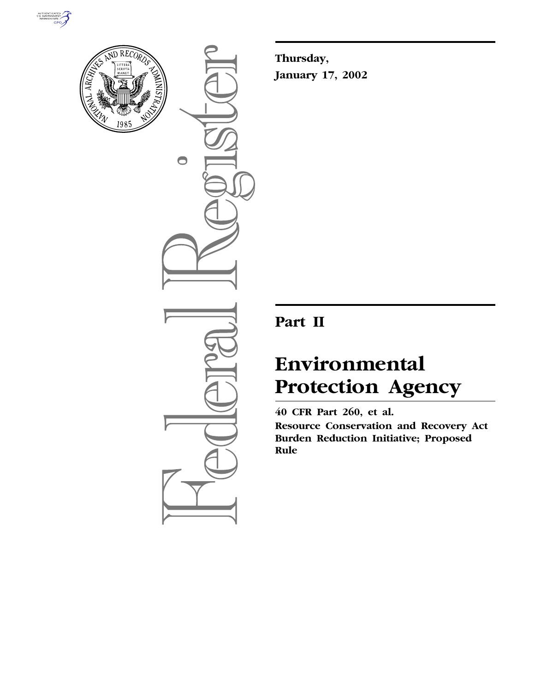



 $\bigcirc$ 

**Thursday, January 17, 2002**

# **Part II**

# **Environmental Protection Agency**

**40 CFR Part 260, et al.**

**Resource Conservation and Recovery Act Burden Reduction Initiative; Proposed Rule**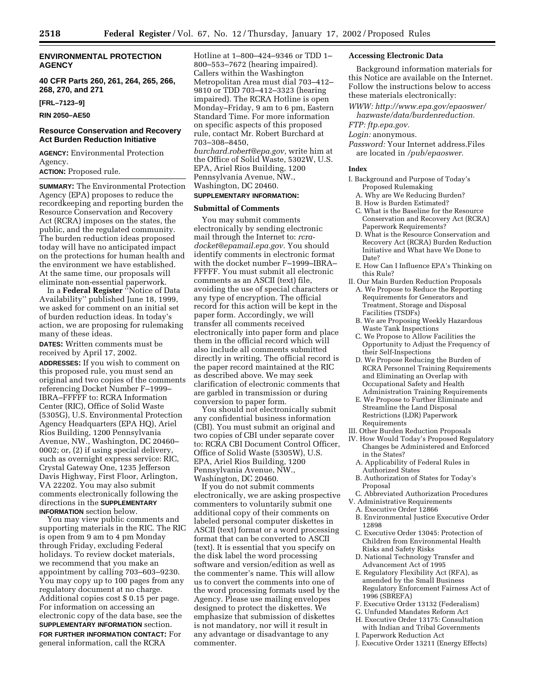# **ENVIRONMENTAL PROTECTION AGENCY**

**40 CFR Parts 260, 261, 264, 265, 266, 268, 270, and 271**

**[FRL–7123–9]**

**RIN 2050–AE50**

# **Resource Conservation and Recovery Act Burden Reduction Initiative**

**AGENCY:** Environmental Protection Agency.

# **ACTION:** Proposed rule.

**SUMMARY:** The Environmental Protection Agency (EPA) proposes to reduce the recordkeeping and reporting burden the Resource Conservation and Recovery Act (RCRA) imposes on the states, the public, and the regulated community. The burden reduction ideas proposed today will have no anticipated impact on the protections for human health and the environment we have established. At the same time, our proposals will eliminate non-essential paperwork.

In a **Federal Register** ''Notice of Data Availability'' published June 18, 1999, we asked for comment on an initial set of burden reduction ideas. In today's action, we are proposing for rulemaking many of these ideas.

**DATES:** Written comments must be received by April 17, 2002.

**ADDRESSES:** If you wish to comment on this proposed rule, you must send an original and two copies of the comments referencing Docket Number F–1999– IBRA–FFFFF to: RCRA Information Center (RIC), Office of Solid Waste (5305G), U.S. Environmental Protection Agency Headquarters (EPA HQ), Ariel Rios Building, 1200 Pennsylvania Avenue, NW., Washington, DC 20460– 0002; or, (2) if using special delivery, such as overnight express service: RIC, Crystal Gateway One, 1235 Jefferson Davis Highway, First Floor, Arlington, VA 22202. You may also submit comments electronically following the directions in the **SUPPLEMENTARY INFORMATION** section below.

You may view public comments and supporting materials in the RIC. The RIC is open from 9 am to 4 pm Monday through Friday, excluding Federal holidays. To review docket materials, we recommend that you make an appointment by calling 703–603–9230. You may copy up to 100 pages from any regulatory document at no charge. Additional copies cost \$ 0.15 per page. For information on accessing an electronic copy of the data base, see the **SUPPLEMENTARY INFORMATION** section. **FOR FURTHER INFORMATION CONTACT:** For general information, call the RCRA

Hotline at 1–800–424–9346 or TDD 1– 800–553–7672 (hearing impaired). Callers within the Washington Metropolitan Area must dial 703–412– 9810 or TDD 703–412–3323 (hearing impaired). The RCRA Hotline is open Monday–Friday, 9 am to 6 pm, Eastern Standard Time. For more information on specific aspects of this proposed rule, contact Mr. Robert Burchard at 703–308–8450, *burchard.robert@epa.gov,* write him at the Office of Solid Waste, 5302W, U.S. EPA, Ariel Rios Building, 1200 Pennsylvania Avenue, NW., Washington, DC 20460.

# **SUPPLEMENTARY INFORMATION:**

# **Submittal of Comments**

You may submit comments electronically by sending electronic mail through the Internet to: *rcradocket@epamail.epa.gov.* You should identify comments in electronic format with the docket number F–1999–IBRA– FFFFF. You must submit all electronic comments as an ASCII (text) file, avoiding the use of special characters or any type of encryption. The official record for this action will be kept in the paper form. Accordingly, we will transfer all comments received electronically into paper form and place them in the official record which will also include all comments submitted directly in writing. The official record is the paper record maintained at the RIC as described above. We may seek clarification of electronic comments that are garbled in transmission or during conversion to paper form.

You should not electronically submit any confidential business information (CBI). You must submit an original and two copies of CBI under separate cover to: RCRA CBI Document Control Officer, Office of Solid Waste (5305W), U.S. EPA, Ariel Rios Building, 1200 Pennsylvania Avenue, NW., Washington, DC 20460.

If you do not submit comments electronically, we are asking prospective commenters to voluntarily submit one additional copy of their comments on labeled personal computer diskettes in ASCII (text) format or a word processing format that can be converted to ASCII (text). It is essential that you specify on the disk label the word processing software and version/edition as well as the commenter's name. This will allow us to convert the comments into one of the word processing formats used by the Agency. Please use mailing envelopes designed to protect the diskettes. We emphasize that submission of diskettes is not mandatory, nor will it result in any advantage or disadvantage to any commenter.

# **Accessing Electronic Data**

Background information materials for this Notice are available on the Internet. Follow the instructions below to access these materials electronically:

*WWW: http://www.epa.gov/epaoswer/ hazwaste/data/burdenreduction.*

*FTP: ftp.epa.gov.*

*Login:* anonymous.

*Password:* Your Internet address.Files are located in */pub/epaoswer.*

#### **Index**

- I. Background and Purpose of Today's Proposed Rulemaking
	- A. Why are We Reducing Burden?
	- B. How is Burden Estimated?
	- C. What is the Baseline for the Resource Conservation and Recovery Act (RCRA) Paperwork Requirements?
	- D. What is the Resource Conservation and Recovery Act (RCRA) Burden Reduction Initiative and What have We Done to Date?
	- E. How Can I Influence EPA's Thinking on this Rule?
- II. Our Main Burden Reduction Proposals
- A. We Propose to Reduce the Reporting Requirements for Generators and Treatment, Storage and Disposal Facilities (TSDFs)
- B. We are Proposing Weekly Hazardous Waste Tank Inspections
- C. We Propose to Allow Facilities the Opportunity to Adjust the Frequency of their Self-Inspections
- D. We Propose Reducing the Burden of RCRA Personnel Training Requirements and Eliminating an Overlap with Occupational Safety and Health Administration Training Requirements
- E. We Propose to Further Eliminate and Streamline the Land Disposal Restrictions (LDR) Paperwork Requirements
- III. Other Burden Reduction Proposals
- IV. How Would Today's Proposed Regulatory Changes be Administered and Enforced in the States?
	- A. Applicability of Federal Rules in Authorized States
	- B. Authorization of States for Today's Proposal
- C. Abbreviated Authorization Procedures V. Administrative Requirements
- A. Executive Order 12866
- B. Environmental Justice Executive Order 12898
- C. Executive Order 13045: Protection of Children from Environmental Health Risks and Safety Risks
- D. National Technology Transfer and Advancement Act of 1995
- E. Regulatory Flexibility Act (RFA), as amended by the Small Business Regulatory Enforcement Fairness Act of 1996 (SBREFA)
- F. Executive Order 13132 (Federalism)
- G. Unfunded Mandates Reform Act
- H. Executive Order 13175: Consultation with Indian and Tribal Governments
- I. Paperwork Reduction Act
- J. Executive Order 13211 (Energy Effects)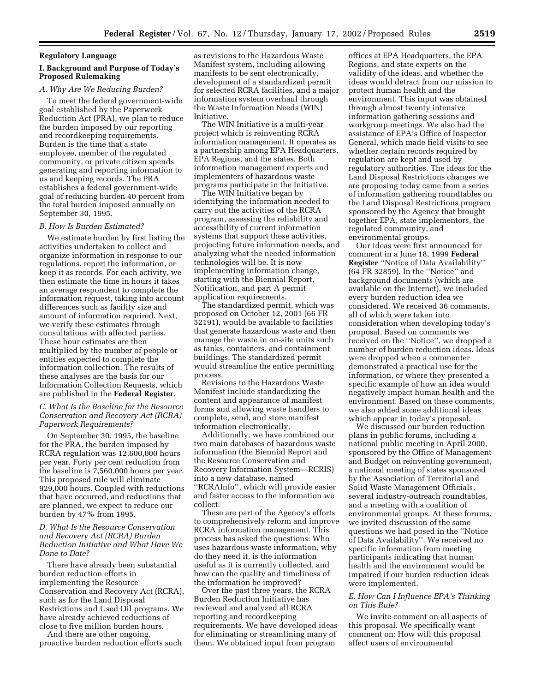#### **Regulatory Language**

# **I. Background and Purpose of Today's Proposed Rulemaking**

# *A. Why Are We Reducing Burden?*

To meet the federal government-wide goal established by the Paperwork Reduction Act (PRA), we plan to reduce the burden imposed by our reporting and recordkeeping requirements. Burden is the time that a state employee, member of the regulated community, or private citizen spends generating and reporting information to us and keeping records. The PRA establishes a federal government-wide goal of reducing burden 40 percent from the total burden imposed annually on September 30, 1995.

#### *B. How Is Burden Estimated?*

We estimate burden by first listing the activities undertaken to collect and organize information in response to our regulations, report the information, or keep it as records. For each activity, we then estimate the time in hours it takes an average respondent to complete the information request, taking into account differences such as facility size and amount of information required. Next, we verify these estimates through consultations with affected parties. These hour estimates are then multiplied by the number of people or entities expected to complete the information collection. The results of these analyses are the basis for our Information Collection Requests, which are published in the **Federal Register**.

*C. What Is the Baseline for the Resource Conservation and Recovery Act (RCRA) Paperwork Requirements?*

On September 30, 1995, the baseline for the PRA, the burden imposed by RCRA regulation was 12,600,000 hours per year. Forty per cent reduction from the baseline is 7,560,000 hours per year. This proposed rule will eliminate 929,000 hours. Coupled with reductions that have occurred, and reductions that are planned, we expect to reduce our burden by 47% from 1995.

# *D. What Is the Resource Conservation and Recovery Act (RCRA) Burden Reduction Initiative and What Have We Done to Date?*

There have already been substantial burden reduction efforts in implementing the Resource Conservation and Recovery Act (RCRA), such as for the Land Disposal Restrictions and Used Oil programs. We have already achieved reductions of close to five million burden hours.

And there are other ongoing, proactive burden reduction efforts such

as revisions to the Hazardous Waste Manifest system, including allowing manifests to be sent electronically, development of a standardized permit for selected RCRA facilities, and a major information system overhaul through the Waste Information Needs (WIN) Initiative.

The WIN Initiative is a multi-year project which is reinventing RCRA information management. It operates as a partnership among EPA Headquarters, EPA Regions, and the states. Both information management experts and implementers of hazardous waste programs participate in the Initiative.

The WIN Initiative began by identifying the information needed to carry out the activities of the RCRA program, assessing the reliability and accessibility of current information systems that support these activities, projecting future information needs, and analyzing what the needed information technologies will be. It is now implementing information change, starting with the Biennial Report, Notification, and part A permit application requirements.

The standardized permit, which was proposed on October 12, 2001 (66 FR 52191), would be available to facilities that generate hazardous waste and then manage the waste in on-site units such as tanks, containers, and containment buildings. The standardized permit would streamline the entire permitting process.

Revisions to the Hazardous Waste Manifest include standardizing the content and appearance of manifest forms and allowing waste handlers to complete, send, and store manifest information electronically.

Additionally, we have combined our two main databases of hazardous waste information (the Biennial Report and the Resource Conservation and Recovery Information System—RCRIS) into a new database, named ''RCRAInfo'', which will provide easier and faster access to the information we collect.

These are part of the Agency's efforts to comprehensively reform and improve RCRA information management. This process has asked the questions: Who uses hazardous waste information, why do they need it, is the information useful as it is currently collected, and how can the quality and timeliness of the information be improved?

Over the past three years, the RCRA Burden Reduction Initiative has reviewed and analyzed all RCRA reporting and recordkeeping requirements. We have developed ideas for eliminating or streamlining many of them. We obtained input from program

offices at EPA Headquarters, the EPA Regions, and state experts on the validity of the ideas, and whether the ideas would detract from our mission to protect human health and the environment. This input was obtained through almost twenty intensive information gathering sessions and workgroup meetings. We also had the assistance of EPA's Office of Inspector General, which made field visits to see whether certain records required by regulation are kept and used by regulatory authorities. The ideas for the Land Disposal Restrictions changes we are proposing today came from a series of information gathering roundtables on the Land Disposal Restrictions program sponsored by the Agency that brought together EPA, state implementors, the regulated community, and environmental groups.

Our ideas were first announced for comment in a June 18, 1999 **Federal Register** ''Notice of Data Availability'' (64 FR 32859). In the ''Notice'' and background documents (which are available on the Internet), we included every burden reduction idea we considered. We received 36 comments, all of which were taken into consideration when developing today's proposal. Based on comments we received on the ''Notice'', we dropped a number of burden reduction ideas. Ideas were dropped when a commenter demonstrated a practical use for the information, or where they presented a specific example of how an idea would negatively impact human health and the environment. Based on these comments, we also added some additional ideas which appear in today's proposal.

We discussed our burden reduction plans in public forums, including a national public meeting in April 2000, sponsored by the Office of Management and Budget on reinventing government, a national meeting of states sponsored by the Association of Territorial and Solid Waste Management Officials, several industry-outreach roundtables, and a meeting with a coalition of environmental groups. At these forums, we invited discussion of the same questions we had posed in the ''Notice of Data Availability''. We received no specific information from meeting participants indicating that human health and the environment would be impaired if our burden reduction ideas were implemented.

# *E. How Can I Influence EPA's Thinking on This Rule?*

We invite comment on all aspects of this proposal. We specifically want comment on: How will this proposal affect users of environmental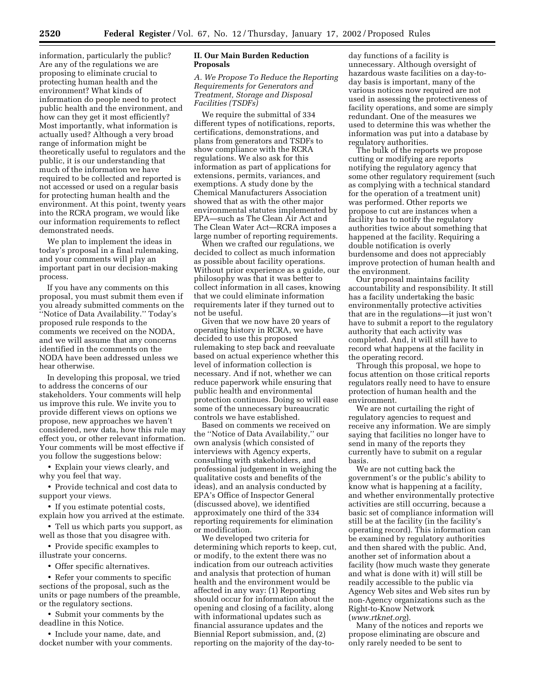information, particularly the public? Are any of the regulations we are proposing to eliminate crucial to protecting human health and the environment? What kinds of information do people need to protect public health and the environment, and how can they get it most efficiently? Most importantly, what information is actually used? Although a very broad range of information might be theoretically useful to regulators and the public, it is our understanding that much of the information we have required to be collected and reported is not accessed or used on a regular basis for protecting human health and the environment. At this point, twenty years into the RCRA program, we would like our information requirements to reflect demonstrated needs.

We plan to implement the ideas in today's proposal in a final rulemaking, and your comments will play an important part in our decision-making process.

If you have any comments on this proposal, you must submit them even if you already submitted comments on the ''Notice of Data Availability.'' Today's proposed rule responds to the comments we received on the NODA, and we will assume that any concerns identified in the comments on the NODA have been addressed unless we hear otherwise.

In developing this proposal, we tried to address the concerns of our stakeholders. Your comments will help us improve this rule. We invite you to provide different views on options we propose, new approaches we haven't considered, new data, how this rule may effect you, or other relevant information. Your comments will be most effective if you follow the suggestions below:

• Explain your views clearly, and why you feel that way.

• Provide technical and cost data to support your views.

• If you estimate potential costs, explain how you arrived at the estimate.

• Tell us which parts you support, as well as those that you disagree with.

• Provide specific examples to illustrate your concerns.

• Offer specific alternatives.

• Refer your comments to specific sections of the proposal, such as the units or page numbers of the preamble, or the regulatory sections.

• Submit your comments by the deadline in this Notice.

• Include your name, date, and docket number with your comments.

# **II. Our Main Burden Reduction Proposals**

*A. We Propose To Reduce the Reporting Requirements for Generators and Treatment, Storage and Disposal Facilities (TSDFs)*

We require the submittal of 334 different types of notifications, reports, certifications, demonstrations, and plans from generators and TSDFs to show compliance with the RCRA regulations. We also ask for this information as part of applications for extensions, permits, variances, and exemptions. A study done by the Chemical Manufacturers Association showed that as with the other major environmental statutes implemented by EPA—such as The Clean Air Act and The Clean Water Act—RCRA imposes a large number of reporting requirements.

When we crafted our regulations, we decided to collect as much information as possible about facility operations. Without prior experience as a guide, our philosophy was that it was better to collect information in all cases, knowing that we could eliminate information requirements later if they turned out to not be useful.

Given that we now have 20 years of operating history in RCRA, we have decided to use this proposed rulemaking to step back and reevaluate based on actual experience whether this level of information collection is necessary. And if not, whether we can reduce paperwork while ensuring that public health and environmental protection continues. Doing so will ease some of the unnecessary bureaucratic controls we have established.

Based on comments we received on the ''Notice of Data Availability,'' our own analysis (which consisted of interviews with Agency experts, consulting with stakeholders, and professional judgement in weighing the qualitative costs and benefits of the ideas), and an analysis conducted by EPA's Office of Inspector General (discussed above), we identified approximately one third of the 334 reporting requirements for elimination or modification.

We developed two criteria for determining which reports to keep, cut, or modify, to the extent there was no indication from our outreach activities and analysis that protection of human health and the environment would be affected in any way: (1) Reporting should occur for information about the opening and closing of a facility, along with informational updates such as financial assurance updates and the Biennial Report submission, and, (2) reporting on the majority of the day-to-

day functions of a facility is unnecessary. Although oversight of hazardous waste facilities on a day-today basis is important, many of the various notices now required are not used in assessing the protectiveness of facility operations, and some are simply redundant. One of the measures we used to determine this was whether the information was put into a database by regulatory authorities.

The bulk of the reports we propose cutting or modifying are reports notifying the regulatory agency that some other regulatory requirement (such as complying with a technical standard for the operation of a treatment unit) was performed. Other reports we propose to cut are instances when a facility has to notify the regulatory authorities twice about something that happened at the facility. Requiring a double notification is overly burdensome and does not appreciably improve protection of human health and the environment.

Our proposal maintains facility accountability and responsibility. It still has a facility undertaking the basic environmentally protective activities that are in the regulations—it just won't have to submit a report to the regulatory authority that each activity was completed. And, it will still have to record what happens at the facility in the operating record.

Through this proposal, we hope to focus attention on those critical reports regulators really need to have to ensure protection of human health and the environment.

We are not curtailing the right of regulatory agencies to request and receive any information. We are simply saying that facilities no longer have to send in many of the reports they currently have to submit on a regular basis.

We are not cutting back the government's or the public's ability to know what is happening at a facility, and whether environmentally protective activities are still occurring, because a basic set of compliance information will still be at the facility (in the facility's operating record). This information can be examined by regulatory authorities and then shared with the public. And, another set of information about a facility (how much waste they generate and what is done with it) will still be readily accessible to the public via Agency Web sites and Web sites run by non-Agency organizations such as the Right-to-Know Network (*www.rtknet.org*).

Many of the notices and reports we propose eliminating are obscure and only rarely needed to be sent to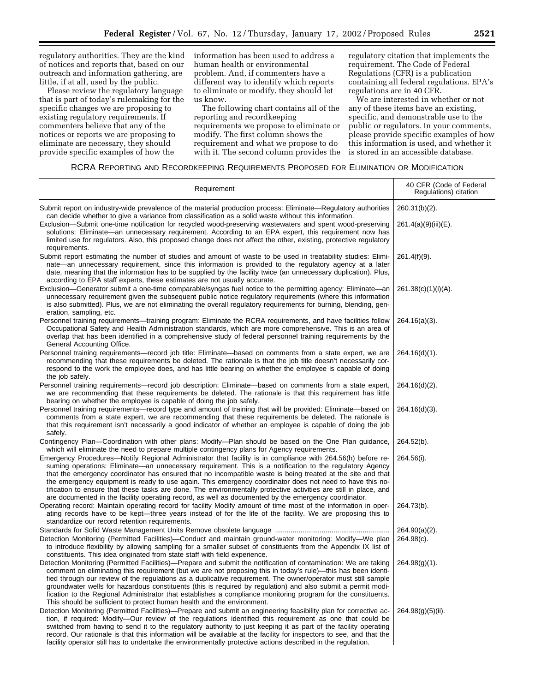regulatory authorities. They are the kind of notices and reports that, based on our outreach and information gathering, are little, if at all, used by the public.

Please review the regulatory language that is part of today's rulemaking for the specific changes we are proposing to existing regulatory requirements. If commenters believe that any of the notices or reports we are proposing to eliminate are necessary, they should provide specific examples of how the

information has been used to address a human health or environmental problem. And, if commenters have a different way to identify which reports to eliminate or modify, they should let us know.

The following chart contains all of the reporting and recordkeeping requirements we propose to eliminate or modify. The first column shows the requirement and what we propose to do with it. The second column provides the regulatory citation that implements the requirement. The Code of Federal Regulations (CFR) is a publication containing all federal regulations. EPA's regulations are in 40 CFR.

We are interested in whether or not any of these items have an existing, specific, and demonstrable use to the public or regulators. In your comments, please provide specific examples of how this information is used, and whether it is stored in an accessible database.

# RCRA REPORTING AND RECORDKEEPING REQUIREMENTS PROPOSED FOR ELIMINATION OR MODIFICATION

| Requirement                                                                                                                                                                                                                                                                                                                                                                                                                                                                                                                                                                                                                                                                     | 40 CFR (Code of Federal<br>Regulations) citation |
|---------------------------------------------------------------------------------------------------------------------------------------------------------------------------------------------------------------------------------------------------------------------------------------------------------------------------------------------------------------------------------------------------------------------------------------------------------------------------------------------------------------------------------------------------------------------------------------------------------------------------------------------------------------------------------|--------------------------------------------------|
| Submit report on industry-wide prevalence of the material production process: Eliminate—Regulatory authorities<br>can decide whether to give a variance from classification as a solid waste without this information.                                                                                                                                                                                                                                                                                                                                                                                                                                                          | $260.31(b)(2)$ .                                 |
| Exclusion—Submit one-time notification for recycled wood-preserving wastewaters and spent wood-preserving<br>solutions: Eliminate—an unnecessary requirement. According to an EPA expert, this requirement now has<br>limited use for regulators. Also, this proposed change does not affect the other, existing, protective regulatory<br>requirements.                                                                                                                                                                                                                                                                                                                        | 261.4(a)(9)(iii)(E).                             |
| Submit report estimating the number of studies and amount of waste to be used in treatability studies: Elimi-<br>nate—an unnecessary requirement, since this information is provided to the regulatory agency at a later<br>date, meaning that the information has to be supplied by the facility twice (an unnecessary duplication). Plus,<br>according to EPA staff experts, these estimates are not usually accurate.                                                                                                                                                                                                                                                        | $261.4(f)(9)$ .                                  |
| Exclusion—Generator submit a one-time comparable/syngas fuel notice to the permitting agency: Eliminate—an<br>unnecessary requirement given the subsequent public notice regulatory requirements (where this information<br>is also submitted). Plus, we are not eliminating the overall regulatory requirements for burning, blending, gen-<br>eration, sampling, etc.                                                                                                                                                                                                                                                                                                         | $261.38(c)(1)(i)(A)$ .                           |
| Personnel training requirements—training program: Eliminate the RCRA requirements, and have facilities follow<br>Occupational Safety and Health Administration standards, which are more comprehensive. This is an area of<br>overlap that has been identified in a comprehensive study of federal personnel training requirements by the<br>General Accounting Office.                                                                                                                                                                                                                                                                                                         | $264.16(a)(3)$ .                                 |
| Personnel training requirements—record job title: Eliminate—based on comments from a state expert, we are<br>recommending that these requirements be deleted. The rationale is that the job title doesn't necessarily cor-<br>respond to the work the employee does, and has little bearing on whether the employee is capable of doing<br>the job safely.                                                                                                                                                                                                                                                                                                                      | $264.16(d)(1)$ .                                 |
| Personnel training requirements—record job description: Eliminate—based on comments from a state expert,<br>we are recommending that these requirements be deleted. The rationale is that this requirement has little<br>bearing on whether the employee is capable of doing the job safely.                                                                                                                                                                                                                                                                                                                                                                                    | $264.16(d)(2)$ .                                 |
| Personnel training requirements—record type and amount of training that will be provided: Eliminate—based on<br>comments from a state expert, we are recommending that these requirements be deleted. The rationale is<br>that this requirement isn't necessarily a good indicator of whether an employee is capable of doing the job<br>safely.                                                                                                                                                                                                                                                                                                                                | $264.16(d)(3)$ .                                 |
| Contingency Plan-Coordination with other plans: Modify-Plan should be based on the One Plan guidance,<br>which will eliminate the need to prepare multiple contingency plans for Agency requirements.                                                                                                                                                                                                                                                                                                                                                                                                                                                                           | 264.52(b).                                       |
| Emergency Procedures—Notify Regional Administrator that facility is in compliance with 264.56(h) before re-<br>suming operations: Eliminate—an unnecessary requirement. This is a notification to the regulatory Agency<br>that the emergency coordinator has ensured that no incompatible waste is being treated at the site and that<br>the emergency equipment is ready to use again. This emergency coordinator does not need to have this no-<br>tification to ensure that these tasks are done. The environmentally protective activities are still in place, and<br>are documented in the facility operating record, as well as documented by the emergency coordinator. | 264.56(i).                                       |
| Operating record: Maintain operating record for facility Modify amount of time most of the information in oper-<br>ating records have to be kept-three years instead of for the life of the facility. We are proposing this to<br>standardize our record retention requirements.                                                                                                                                                                                                                                                                                                                                                                                                | 264.73(b).                                       |
|                                                                                                                                                                                                                                                                                                                                                                                                                                                                                                                                                                                                                                                                                 | $264.90(a)(2)$ .                                 |
| Detection Monitoring (Permitted Facilities)—Conduct and maintain ground-water monitoring: Modify—We plan<br>to introduce flexibility by allowing sampling for a smaller subset of constituents from the Appendix IX list of<br>constituents. This idea originated from state staff with field experience.                                                                                                                                                                                                                                                                                                                                                                       | 264.98(c).                                       |
| Detection Monitoring (Permitted Facilities)—Prepare and submit the notification of contamination: We are taking<br>comment on eliminating this requirement (but we are not proposing this in today's rule)—this has been identi-<br>fied through our review of the regulations as a duplicative requirement. The owner/operator must still sample<br>groundwater wells for hazardous constituents (this is required by regulation) and also submit a permit modi-<br>fication to the Regional Administrator that establishes a compliance monitoring program for the constituents.<br>This should be sufficient to protect human health and the environment.                    | $264.98(g)(1)$ .                                 |
| Detection Monitoring (Permitted Facilities)—Prepare and submit an engineering feasibility plan for corrective ac-<br>tion, if required: Modify—Our review of the regulations identified this requirement as one that could be<br>switched from having to send it to the regulatory authority to just keeping it as part of the facility operating<br>record. Our rationale is that this information will be available at the facility for inspectors to see, and that the<br>facility operator still has to undertake the environmentally protective actions described in the regulation.                                                                                       | $264.98(g)(5)(ii)$ .                             |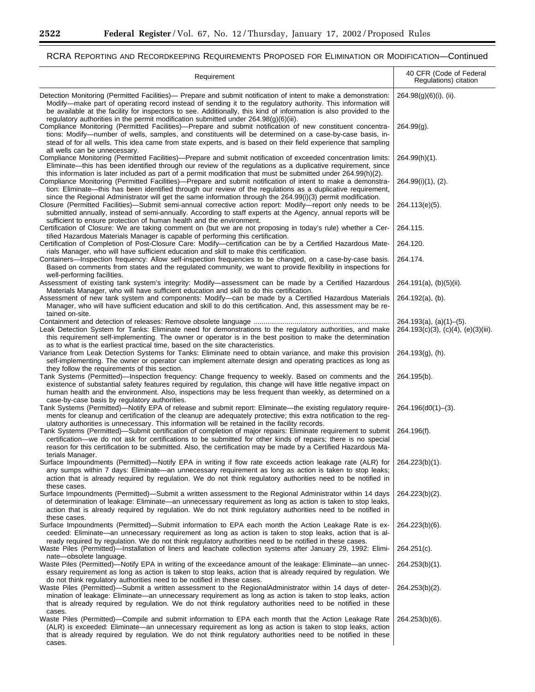۳

۰

# RCRA REPORTING AND RECORDKEEPING REQUIREMENTS PROPOSED FOR ELIMINATION OR MODIFICATION—Continued

| Requirement                                                                                                                                                                                                                                                                                                                                                                                                                                                                                                                                                                                                                                                                                                                                                                                     | 40 CFR (Code of Federal<br>Regulations) citation                        |
|-------------------------------------------------------------------------------------------------------------------------------------------------------------------------------------------------------------------------------------------------------------------------------------------------------------------------------------------------------------------------------------------------------------------------------------------------------------------------------------------------------------------------------------------------------------------------------------------------------------------------------------------------------------------------------------------------------------------------------------------------------------------------------------------------|-------------------------------------------------------------------------|
| Detection Monitoring (Permitted Facilities)— Prepare and submit notification of intent to make a demonstration:<br>Modify-make part of operating record instead of sending it to the regulatory authority. This information will<br>be available at the facility for inspectors to see. Additionally, this kind of information is also provided to the<br>regulatory authorities in the permit modification submitted under $264.98(g)(6)(iii)$ .<br>Compliance Monitoring (Permitted Facilities)—Prepare and submit notification of new constituent concentra-<br>tions: Modify--number of wells, samples, and constituents will be determined on a case-by-case basis, in-<br>stead of for all wells. This idea came from state experts, and is based on their field experience that sampling | $264.98(g)(6)(i)$ , (ii).<br>$264.99(q)$ .                              |
| all wells can be unnecessary.<br>Compliance Monitoring (Permitted Facilities)—Prepare and submit notification of exceeded concentration limits:<br>Eliminate—this has been identified through our review of the regulations as a duplicative requirement, since                                                                                                                                                                                                                                                                                                                                                                                                                                                                                                                                 | 264.99(h)(1).                                                           |
| this information is later included as part of a permit modification that must be submitted under 264.99(h)(2).<br>Compliance Monitoring (Permitted Facilities)—Prepare and submit notification of intent to make a demonstra-<br>tion: Eliminate—this has been identified through our review of the regulations as a duplicative requirement,                                                                                                                                                                                                                                                                                                                                                                                                                                                   | $264.99(i)(1)$ , (2).                                                   |
| since the Regional Administrator will get the same information through the 264.99(i)(3) permit modification.<br>Closure (Permitted Facilities)—Submit semi-annual corrective action report: Modify—report only needs to be<br>submitted annually, instead of semi-annually. According to staff experts at the Agency, annual reports will be<br>sufficient to ensure protection of human health and the environment.                                                                                                                                                                                                                                                                                                                                                                            | 264.113(e)(5).                                                          |
| Certification of Closure: We are taking comment on (but we are not proposing in today's rule) whether a Cer-                                                                                                                                                                                                                                                                                                                                                                                                                                                                                                                                                                                                                                                                                    | 264.115.                                                                |
| tified Hazardous Materials Manager is capable of performing this certification.<br>Certification of Completion of Post-Closure Care: Modify-certification can be by a Certified Hazardous Mate-<br>rials Manager, who will have sufficient education and skill to make this certification.                                                                                                                                                                                                                                                                                                                                                                                                                                                                                                      | 264.120.                                                                |
| Containers—Inspection frequency: Allow self-inspection frequencies to be changed, on a case-by-case basis.<br>Based on comments from states and the regulated community, we want to provide flexibility in inspections for<br>well-performing facilities.                                                                                                                                                                                                                                                                                                                                                                                                                                                                                                                                       | 264.174.                                                                |
| Assessment of existing tank system's integrity: Modify—assessment can be made by a Certified Hazardous<br>Materials Manager, who will have sufficient education and skill to do this certification.                                                                                                                                                                                                                                                                                                                                                                                                                                                                                                                                                                                             | $264.191(a)$ , (b)(5)(ii).                                              |
| Assessment of new tank system and components: Modify-can be made by a Certified Hazardous Materials<br>Manager, who will have sufficient education and skill to do this certification. And, this assessment may be re-<br>tained on-site.                                                                                                                                                                                                                                                                                                                                                                                                                                                                                                                                                       | $264.192(a)$ , (b).                                                     |
| Leak Detection System for Tanks: Eliminate need for demonstrations to the regulatory authorities, and make<br>this requirement self-implementing. The owner or operator is in the best position to make the determination<br>as to what is the earliest practical time, based on the site characteristics.                                                                                                                                                                                                                                                                                                                                                                                                                                                                                      | 264.193(a), (a)(1)–(5).<br>$264.193(c)(3)$ , $(c)(4)$ , $(e)(3)(iii)$ . |
| Variance from Leak Detection Systems for Tanks: Eliminate need to obtain variance, and make this provision<br>self-implementing. The owner or operator can implement alternate design and operating practices as long as                                                                                                                                                                                                                                                                                                                                                                                                                                                                                                                                                                        | 264.193(g), (h).                                                        |
| they follow the requirements of this section.<br>Tank Systems (Permitted)—Inspection frequency: Change frequency to weekly. Based on comments and the<br>existence of substantial safety features required by regulation, this change will have little negative impact on<br>human health and the environment. Also, inspections may be less frequent than weekly, as determined on a<br>case-by-case basis by regulatory authorities.                                                                                                                                                                                                                                                                                                                                                          | 264.195(b).                                                             |
| Tank Systems (Permitted)—Notify EPA of release and submit report: Eliminate—the existing regulatory require-<br>ments for cleanup and certification of the cleanup are adequately protective; this extra notification to the reg-                                                                                                                                                                                                                                                                                                                                                                                                                                                                                                                                                               | 264.196(d0(1)-(3).                                                      |
| ulatory authorities is unnecessary. This information will be retained in the facility records.<br>Tank Systems (Permitted)—Submit certification of completion of major repairs: Eliminate requirement to submit<br>certification—we do not ask for certifications to be submitted for other kinds of repairs; there is no special<br>reason for this certification to be submitted. Also, the certification may be made by a Certified Hazardous Ma-                                                                                                                                                                                                                                                                                                                                            | 264.196(f).                                                             |
| terials Manager.<br>Surface Impoundments (Permitted)—Notify EPA in writing if flow rate exceeds action leakage rate (ALR) for<br>any sumps within 7 days: Eliminate—an unnecessary requirement as long as action is taken to stop leaks;<br>action that is already required by regulation. We do not think regulatory authorities need to be notified in<br>these cases.                                                                                                                                                                                                                                                                                                                                                                                                                        | 264.223(b)(1).                                                          |
| Surface Impoundments (Permitted)—Submit a written assessment to the Regional Administrator within 14 days<br>of determination of leakage: Eliminate—an unnecessary requirement as long as action is taken to stop leaks,<br>action that is already required by regulation. We do not think regulatory authorities need to be notified in<br>these cases.                                                                                                                                                                                                                                                                                                                                                                                                                                        | 264.223(b)(2).                                                          |
| Surface Impoundments (Permitted)—Submit information to EPA each month the Action Leakage Rate is ex-<br>ceeded: Eliminate—an unnecessary requirement as long as action is taken to stop leaks, action that is al-                                                                                                                                                                                                                                                                                                                                                                                                                                                                                                                                                                               | 264.223(b)(6).                                                          |
| ready required by regulation. We do not think regulatory authorities need to be notified in these cases.<br>Waste Piles (Permitted)—Installation of liners and leachate collection systems after January 29, 1992: Elimi-<br>nate-obsolete language.                                                                                                                                                                                                                                                                                                                                                                                                                                                                                                                                            | $264.251(c)$ .                                                          |
| Waste Piles (Permitted)—Notify EPA in writing of the exceedance amount of the leakage: Eliminate—an unnec-<br>essary requirement as long as action is taken to stop leaks, action that is already required by regulation. We                                                                                                                                                                                                                                                                                                                                                                                                                                                                                                                                                                    | 264.253(b)(1).                                                          |
| do not think regulatory authorities need to be notified in these cases.<br>Waste Piles (Permitted)—Submit a written assessment to the RegionalAdministrator within 14 days of deter-<br>mination of leakage: Eliminate—an unnecessary requirement as long as action is taken to stop leaks, action<br>that is already required by regulation. We do not think regulatory authorities need to be notified in these                                                                                                                                                                                                                                                                                                                                                                               | 264.253(b)(2).                                                          |
| cases.<br>Waste Piles (Permitted)—Compile and submit information to EPA each month that the Action Leakage Rate<br>(ALR) is exceeded: Eliminate—an unnecessary requirement as long as action is taken to stop leaks, action<br>that is already required by regulation. We do not think regulatory authorities need to be notified in these<br>cases.                                                                                                                                                                                                                                                                                                                                                                                                                                            | 264.253(b)(6).                                                          |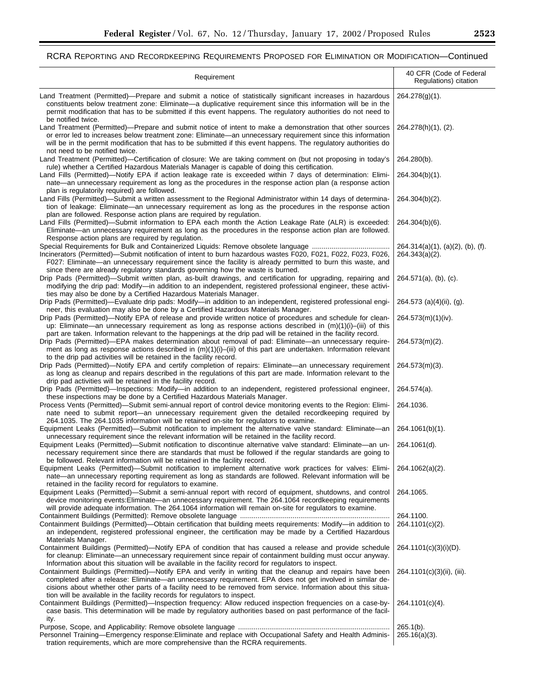# RCRA REPORTING AND RECORDKEEPING REQUIREMENTS PROPOSED FOR ELIMINATION OR MODIFICATION—Continued

| Requirement                                                                                                                                                                                                                                                                                                                                                                                                           | 40 CFR (Code of Federal<br>Regulations) citation         |
|-----------------------------------------------------------------------------------------------------------------------------------------------------------------------------------------------------------------------------------------------------------------------------------------------------------------------------------------------------------------------------------------------------------------------|----------------------------------------------------------|
| Land Treatment (Permitted)—Prepare and submit a notice of statistically significant increases in hazardous<br>constituents below treatment zone: Eliminate-a duplicative requirement since this information will be in the<br>permit modification that has to be submitted if this event happens. The regulatory authorities do not need to<br>be notified twice.                                                     | $264.278(g)(1)$ .                                        |
| Land Treatment (Permitted)—Prepare and submit notice of intent to make a demonstration that other sources<br>or error led to increases below treatment zone: Eliminate—an unnecessary requirement since this information<br>will be in the permit modification that has to be submitted if this event happens. The regulatory authorities do<br>not need to be notified twice.                                        | 264.278(h)(1), (2).                                      |
| Land Treatment (Permitted)-Certification of closure: We are taking comment on (but not proposing in today's<br>rule) whether a Certified Hazardous Materials Manager is capable of doing this certification.                                                                                                                                                                                                          | 264.280(b).                                              |
| Land Fills (Permitted)—Notify EPA if action leakage rate is exceeded within 7 days of determination: Elimi-<br>nate—an unnecessary requirement as long as the procedures in the response action plan (a response action<br>plan is regulatorily required) are followed.                                                                                                                                               | 264.304(b)(1).                                           |
| Land Fills (Permitted)—Submit a written assessment to the Regional Administrator within 14 days of determina-<br>tion of leakage: Eliminate—an unnecessary requirement as long as the procedures in the response action<br>plan are followed. Response action plans are required by regulation.                                                                                                                       | $264.304(b)(2)$ .                                        |
| Land Fills (Permitted)-Submit information to EPA each month the Action Leakage Rate (ALR) is exceeded:<br>Eliminate—an unnecessary requirement as long as the procedures in the response action plan are followed.                                                                                                                                                                                                    | 264.304(b)(6).                                           |
| Response action plans are required by regulation.<br>Incinerators (Permitted)—Submit notification of intent to burn hazardous wastes F020, F021, F022, F023, F026,<br>F027: Eliminate—an unnecessary requirement since the facility is already permitted to burn this waste, and<br>since there are already regulatory standards governing how the waste is burned.                                                   | $264.314(a)(1)$ , (a)(2), (b), (f).<br>$264.343(a)(2)$ . |
| Drip Pads (Permitted)—Submit written plan, as-built drawings, and certification for upgrading, repairing and<br>modifying the drip pad: Modify-in addition to an independent, registered professional engineer, these activi-<br>ties may also be done by a Certified Hazardous Materials Manager.                                                                                                                    | $264.571(a)$ , (b), (c).                                 |
| Drip Pads (Permitted)—Evaluate drip pads: Modify—in addition to an independent, registered professional engi-<br>neer, this evaluation may also be done by a Certified Hazardous Materials Manager.                                                                                                                                                                                                                   | 264.573 (a)(4)(ii), (g).                                 |
| Drip Pads (Permitted)—Notify EPA of release and provide written notice of procedures and schedule for clean-<br>up: Eliminate—an unnecessary requirement as long as response actions described in $(m)(1)(i)$ —(iii) of this<br>part are taken. Information relevant to the happenings at the drip pad will be retained in the facility record.                                                                       | 264.573(m)(1)(iv).                                       |
| Drip Pads (Permitted)—EPA makes determination about removal of pad: Eliminate—an unnecessary require-<br>ment as long as response actions described in $(m)(1)(i)$ –(iii) of this part are undertaken. Information relevant<br>to the drip pad activities will be retained in the facility record.                                                                                                                    | 264.573(m)(2).                                           |
| Drip Pads (Permitted)-Notify EPA and certify completion of repairs: Eliminate-an unnecessary requirement<br>as long as cleanup and repairs described in the regulations of this part are made. Information relevant to the<br>drip pad activities will be retained in the facility record.                                                                                                                            | $264.573(m)(3)$ .                                        |
| Drip Pads (Permitted)—Inspections: Modify—in addition to an independent, registered professional engineer,<br>these inspections may be done by a Certified Hazardous Materials Manager.                                                                                                                                                                                                                               | 264.574(a).                                              |
| Process Vents (Permitted)—Submit semi-annual report of control device monitoring events to the Region: Elimi-<br>nate need to submit report—an unnecessary requirement given the detailed recordkeeping required by<br>264.1035. The 264.1035 information will be retained on-site for regulators to examine.                                                                                                         | 264.1036.                                                |
| Equipment Leaks (Permitted)—Submit notification to implement the alternative valve standard: Eliminate—an<br>unnecessary requirement since the relevant information will be retained in the facility record.                                                                                                                                                                                                          | 264.1061(b)(1).                                          |
| Equipment Leaks (Permitted)—Submit notification to discontinue alternative valve standard: Eliminate—an un-<br>necessary requirement since there are standards that must be followed if the regular standards are going to<br>be followed. Relevant information will be retained in the facility record.                                                                                                              | 264.1061(d).                                             |
| Equipment Leaks (Permitted)—Submit notification to implement alternative work practices for valves: Elimi-<br>nate-an unnecessary reporting requirement as long as standards are followed. Relevant information will be<br>retained in the facility record for regulators to examine.                                                                                                                                 | 264.1062(a)(2).                                          |
| Equipment Leaks (Permitted)—Submit a semi-annual report with record of equipment, shutdowns, and control<br>device monitoring events: Eliminate—an unnecessary requirement. The 264.1064 recordkeeping requirements<br>will provide adequate information. The 264.1064 information will remain on-site for regulators to examine.                                                                                     | 264.1065.                                                |
|                                                                                                                                                                                                                                                                                                                                                                                                                       | 264.1100.                                                |
| Containment Buildings (Permitted)—Obtain certification that building meets requirements: Modify—in addition to<br>an independent, registered professional engineer, the certification may be made by a Certified Hazardous<br>Materials Manager.                                                                                                                                                                      | 264.1101(c)(2).                                          |
| Containment Buildings (Permitted)—Notify EPA of condition that has caused a release and provide schedule<br>for cleanup: Eliminate—an unnecessary requirement since repair of containment building must occur anyway.<br>Information about this situation will be available in the facility record for regulators to inspect.                                                                                         | 264.1101(c)(3)(i)(D).                                    |
| Containment Buildings (Permitted)—Notify EPA and verify in writing that the cleanup and repairs have been<br>completed after a release: Eliminate—an unnecessary requirement. EPA does not get involved in similar de-<br>cisions about whether other parts of a facility need to be removed from service. Information about this situa-<br>tion will be available in the facility records for regulators to inspect. | 264.1101(c)(3)(ii), (iii).                               |
| Containment Buildings (Permitted)—Inspection frequency: Allow reduced inspection frequencies on a case-by-<br>case basis. This determination will be made by regulatory authorities based on past performance of the facil-<br>ity.                                                                                                                                                                                   | 264.1101(c)(4).                                          |
|                                                                                                                                                                                                                                                                                                                                                                                                                       | $265.1(b)$ .                                             |
| Personnel Training-Emergency response: Eliminate and replace with Occupational Safety and Health Adminis-<br>tration requirements, which are more comprehensive than the RCRA requirements.                                                                                                                                                                                                                           | $265.16(a)(3)$ .                                         |

-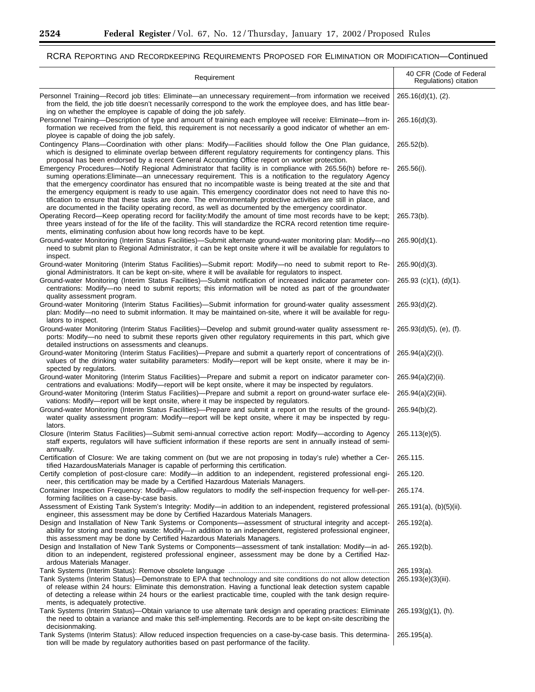# RCRA REPORTING AND RECORDKEEPING REQUIREMENTS PROPOSED FOR ELIMINATION OR MODIFICATION—Continued

e<br>B

| Requirement                                                                                                                                                                                                                                                                                                                                                                                                                                                                                                                                                                                                                                                                     | 40 CFR (Code of Federal<br>Regulations) citation |
|---------------------------------------------------------------------------------------------------------------------------------------------------------------------------------------------------------------------------------------------------------------------------------------------------------------------------------------------------------------------------------------------------------------------------------------------------------------------------------------------------------------------------------------------------------------------------------------------------------------------------------------------------------------------------------|--------------------------------------------------|
| Personnel Training—Record job titles: Eliminate—an unnecessary requirement—from information we received<br>from the field, the job title doesn't necessarily correspond to the work the employee does, and has little bear-<br>ing on whether the employee is capable of doing the job safely.                                                                                                                                                                                                                                                                                                                                                                                  | 265.16(d)(1), (2).                               |
| Personnel Training—Description of type and amount of training each employee will receive: Eliminate—from in-<br>formation we received from the field, this requirement is not necessarily a good indicator of whether an em-<br>ployee is capable of doing the job safely.                                                                                                                                                                                                                                                                                                                                                                                                      | $265.16(d)(3)$ .                                 |
| Contingency Plans—Coordination with other plans: Modify—Facilities should follow the One Plan guidance,<br>which is designed to eliminate overlap between different regulatory requirements for contingency plans. This<br>proposal has been endorsed by a recent General Accounting Office report on worker protection.                                                                                                                                                                                                                                                                                                                                                        | $265.52(b)$ .                                    |
| Emergency Procedures—Notify Regional Administrator that facility is in compliance with 265.56(h) before re-<br>suming operations: Eliminate—an unnecessary requirement. This is a notification to the regulatory Agency<br>that the emergency coordinator has ensured that no incompatible waste is being treated at the site and that<br>the emergency equipment is ready to use again. This emergency coordinator does not need to have this no-<br>tification to ensure that these tasks are done. The environmentally protective activities are still in place, and<br>are documented in the facility operating record, as well as documented by the emergency coordinator. | 265.56(i).                                       |
| Operating Record—Keep operating record for facility: Modify the amount of time most records have to be kept;<br>three years instead of for the life of the facility. This will standardize the RCRA record retention time require-<br>ments, eliminating confusion about how long records have to be kept.                                                                                                                                                                                                                                                                                                                                                                      | 265.73(b).                                       |
| Ground-water Monitoring (Interim Status Facilities)—Submit alternate ground-water monitoring plan: Modify—no<br>need to submit plan to Regional Administrator, it can be kept onsite where it will be available for regulators to<br>inspect.                                                                                                                                                                                                                                                                                                                                                                                                                                   | $265.90(d)(1)$ .                                 |
| Ground-water Monitoring (Interim Status Facilities)-Submit report: Modify-no need to submit report to Re-<br>gional Administrators. It can be kept on-site, where it will be available for regulators to inspect.                                                                                                                                                                                                                                                                                                                                                                                                                                                               | $265.90(d)(3)$ .                                 |
| Ground-water Monitoring (Interim Status Facilities)—Submit notification of increased indicator parameter con-<br>centrations: Modify-no need to submit reports; this information will be noted as part of the groundwater<br>quality assessment program.                                                                                                                                                                                                                                                                                                                                                                                                                        | $265.93$ (c)(1), (d)(1).                         |
| Ground-water Monitoring (Interim Status Facilities)-Submit information for ground-water quality assessment<br>plan: Modify—no need to submit information. It may be maintained on-site, where it will be available for regu-<br>lators to inspect.                                                                                                                                                                                                                                                                                                                                                                                                                              | 265.93(d)(2).                                    |
| Ground-water Monitoring (Interim Status Facilities)—Develop and submit ground-water quality assessment re-<br>ports: Modify-no need to submit these reports given other regulatory requirements in this part, which give<br>detailed instructions on assessments and cleanups.                                                                                                                                                                                                                                                                                                                                                                                                  | 265.93(d)(5), (e), (f).                          |
| Ground-water Monitoring (Interim Status Facilities)—Prepare and submit a quarterly report of concentrations of<br>values of the drinking water suitability parameters: Modify—report will be kept onsite, where it may be in-<br>spected by regulators.                                                                                                                                                                                                                                                                                                                                                                                                                         | $265.94(a)(2)(i)$ .                              |
| Ground-water Monitoring (Interim Status Facilities)—Prepare and submit a report on indicator parameter con-<br>centrations and evaluations: Modify-report will be kept onsite, where it may be inspected by regulators.                                                                                                                                                                                                                                                                                                                                                                                                                                                         | $265.94(a)(2)(ii)$ .                             |
| Ground-water Monitoring (Interim Status Facilities)—Prepare and submit a report on ground-water surface ele-<br>vations: Modify-report will be kept onsite, where it may be inspected by regulators.                                                                                                                                                                                                                                                                                                                                                                                                                                                                            | 265.94(a)(2)(iii).                               |
| Ground-water Monitoring (Interim Status Facilities)—Prepare and submit a report on the results of the ground-<br>water quality assessment program: Modify—report will be kept onsite, where it may be inspected by regu-<br>lators.                                                                                                                                                                                                                                                                                                                                                                                                                                             | $265.94(b)(2)$ .                                 |
| Closure (Interim Status Facilities)—Submit semi-annual corrective action report: Modify—according to Agency<br>staff experts, regulators will have sufficient information if these reports are sent in annually instead of semi-<br>annually.                                                                                                                                                                                                                                                                                                                                                                                                                                   | 265.113(e)(5).                                   |
| Certification of Closure: We are taking comment on (but we are not proposing in today's rule) whether a Cer- 265.115.<br>tified HazardousMaterials Manager is capable of performing this certification.                                                                                                                                                                                                                                                                                                                                                                                                                                                                         |                                                  |
| Certify completion of post-closure care: Modify-in addition to an independent, registered professional engi-<br>neer, this certification may be made by a Certified Hazardous Materials Managers.                                                                                                                                                                                                                                                                                                                                                                                                                                                                               | 265.120.                                         |
| Container Inspection Frequency: Modify—allow regulators to modify the self-inspection frequency for well-per-<br>forming facilities on a case-by-case basis.                                                                                                                                                                                                                                                                                                                                                                                                                                                                                                                    | 265.174.                                         |
| Assessment of Existing Tank System's Integrity: Modify-in addition to an independent, registered professional<br>engineer, this assessment may be done by Certified Hazardous Materials Managers.                                                                                                                                                                                                                                                                                                                                                                                                                                                                               | $265.191(a)$ , (b)(5)(ii).                       |
| Design and Installation of New Tank Systems or Components—assessment of structural integrity and accept-<br>ability for storing and treating waste: Modify-in addition to an independent, registered professional engineer,<br>this assessment may be done by Certified Hazardous Materials Managers.                                                                                                                                                                                                                                                                                                                                                                           | $265.192(a)$ .                                   |
| Design and Installation of New Tank Systems or Components—assessment of tank installation: Modify—in ad-<br>dition to an independent, registered professional engineer, assessment may be done by a Certified Haz-<br>ardous Materials Manager.                                                                                                                                                                                                                                                                                                                                                                                                                                 | 265.192(b).                                      |
| Tank Systems (Interim Status)—Demonstrate to EPA that technology and site conditions do not allow detection<br>of release within 24 hours: Eliminate this demonstration. Having a functional leak detection system capable<br>of detecting a release within 24 hours or the earliest practicable time, coupled with the tank design require-<br>ments, is adequately protective.                                                                                                                                                                                                                                                                                                | $265.193(a)$ .<br>265.193(e)(3)(iii).            |
| Tank Systems (Interim Status)-Obtain variance to use alternate tank design and operating practices: Eliminate<br>the need to obtain a variance and make this self-implementing. Records are to be kept on-site describing the<br>decisionmaking.                                                                                                                                                                                                                                                                                                                                                                                                                                | $265.193(g)(1)$ , (h).                           |
| Tank Systems (Interim Status): Allow reduced inspection frequencies on a case-by-case basis. This determina-<br>tion will be made by regulatory authorities based on past performance of the facility.                                                                                                                                                                                                                                                                                                                                                                                                                                                                          | $265.195(a)$ .                                   |

Ξ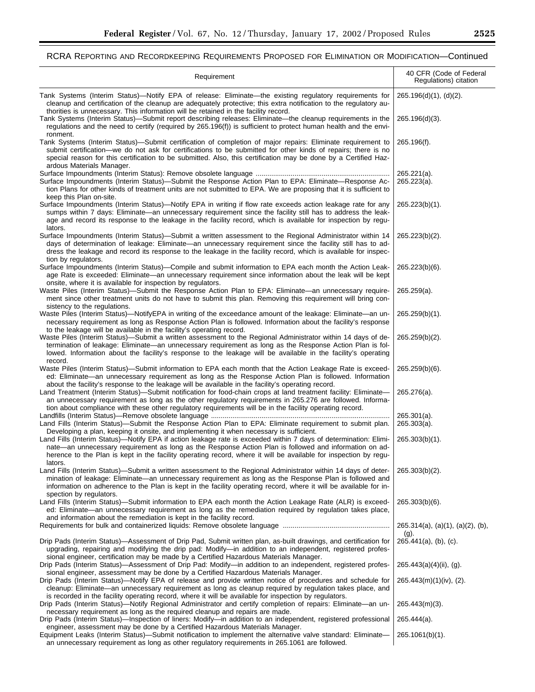| Requirement                                                                                                                                                                                                                                                                                                                                                                  | 40 CFR (Code of Federal<br>Regulations) citation |
|------------------------------------------------------------------------------------------------------------------------------------------------------------------------------------------------------------------------------------------------------------------------------------------------------------------------------------------------------------------------------|--------------------------------------------------|
| Tank Systems (Interim Status)—Notify EPA of release: Eliminate—the existing regulatory requirements for<br>cleanup and certification of the cleanup are adequately protective; this extra notification to the regulatory au-<br>thorities is unnecessary. This information will be retained in the facility record.                                                          | 265.196(d)(1), (d)(2).                           |
| Tank Systems (Interim Status)—Submit report describing releases: Eliminate—the cleanup requirements in the<br>regulations and the need to certify (required by 265.196(f)) is sufficient to protect human health and the envi-<br>ronment.                                                                                                                                   | $265.196(d)(3)$ .                                |
| Tank Systems (Interim Status)—Submit certification of completion of major repairs: Eliminate requirement to<br>submit certification—we do not ask for certifications to be submitted for other kinds of repairs; there is no<br>special reason for this certification to be submitted. Also, this certification may be done by a Certified Haz-<br>ardous Materials Manager. | 265.196(f).                                      |
| Surface Impoundments (Interim Status)-Submit the Response Action Plan to EPA: Eliminate-Response Ac-<br>tion Plans for other kinds of treatment units are not submitted to EPA. We are proposing that it is sufficient to<br>keep this Plan on-site.                                                                                                                         | $265.221(a)$ .<br>$265.223(a)$ .                 |
| Surface Impoundments (Interim Status)-Notify EPA in writing if flow rate exceeds action leakage rate for any<br>sumps within 7 days: Eliminate—an unnecessary requirement since the facility still has to address the leak-<br>age and record its response to the leakage in the facility record, which is available for inspection by regu-<br>lators.                      | 265.223(b)(1).                                   |
| Surface Impoundments (Interim Status)—Submit a written assessment to the Regional Administrator within 14<br>days of determination of leakage: Eliminate—an unnecessary requirement since the facility still has to ad-<br>dress the leakage and record its response to the leakage in the facility record, which is available for inspec-<br>tion by regulators.            | 265.223(b)(2).                                   |
| Surface Impoundments (Interim Status)—Compile and submit information to EPA each month the Action Leak-<br>age Rate is exceeded: Eliminate—an unnecessary requirement since information about the leak will be kept<br>onsite, where it is available for inspection by regulators.                                                                                           | 265.223(b)(6).                                   |
| Waste Piles (Interim Status)—Submit the Response Action Plan to EPA: Eliminate—an unnecessary require-<br>ment since other treatment units do not have to submit this plan. Removing this requirement will bring con-<br>sistency to the regulations.                                                                                                                        | $265.259(a)$ .                                   |
| Waste Piles (Interim Status)—NotifyEPA in writing of the exceedance amount of the leakage: Eliminate—an un-<br>necessary requirement as long as Response Action Plan is followed. Information about the facility's response<br>to the leakage will be available in the facility's operating record.                                                                          | 265.259(b)(1).                                   |
| Waste Piles (Interim Status)—Submit a written assessment to the Regional Administrator within 14 days of de-<br>termination of leakage: Eliminate—an unnecessary requirement as long as the Response Action Plan is fol-<br>lowed. Information about the facility's response to the leakage will be available in the facility's operating<br>record.                         | $265.259(b)(2)$ .                                |
| Waste Piles (Interim Status)—Submit information to EPA each month that the Action Leakage Rate is exceed-<br>ed: Eliminate—an unnecessary requirement as long as the Response Action Plan is followed. Information<br>about the facility's response to the leakage will be available in the facility's operating record.                                                     | $265.259(b)(6)$ .                                |
| Land Treatment (Interim Status)—Submit notification for food-chain crops at land treatment facility: Eliminate—<br>an unnecessary requirement as long as the other regulatory requirements in 265.276 are followed. Informa-<br>tion about compliance with these other regulatory requirements will be in the facility operating record.                                     | 265.276(a).                                      |
| Land Fills (Interim Status)-Submit the Response Action Plan to EPA: Eliminate requirement to submit plan.<br>Developing a plan, keeping it onsite, and implementing it when necessary is sufficient.                                                                                                                                                                         | $265.301(a)$ .<br>$265.303(a)$ .                 |
| Land Fills (Interim Status)-Notify EPA if action leakage rate is exceeded within 7 days of determination: Elimi-<br>nate—an unnecessary requirement as long as the Response Action Plan is followed and information on ad-<br>herence to the Plan is kept in the facility operating record, where it will be available for inspection by regu-<br>lators.                    | $265.303(b)(1)$ .                                |
| Land Fills (Interim Status)—Submit a written assessment to the Regional Administrator within 14 days of deter-<br>mination of leakage: Eliminate—an unnecessary requirement as long as the Response Plan is followed and<br>information on adherence to the Plan is kept in the facility operating record, where it will be available for in-<br>spection by regulators.     | 265.303(b)(2).                                   |
| Land Fills (Interim Status)—Submit information to EPA each month the Action Leakage Rate (ALR) is exceed-<br>ed: Eliminate—an unnecessary requirement as long as the remediation required by regulation takes place,<br>and information about the remediation is kept in the facility record.                                                                                | $265.303(b)(6)$ .                                |
|                                                                                                                                                                                                                                                                                                                                                                              | $265.314(a)$ , (a)(1), (a)(2), (b),<br>$(g)$ .   |
| Drip Pads (Interim Status)—Assessment of Drip Pad, Submit written plan, as-built drawings, and certification for<br>upgrading, repairing and modifying the drip pad: Modify-in addition to an independent, registered profes-<br>sional engineer, certification may be made by a Certified Hazardous Materials Manager.                                                      | $265.441(a)$ , (b), (c).                         |
| Drip Pads (Interim Status)—Assessment of Drip Pad: Modify—in addition to an independent, registered profes-<br>sional engineer, assessment may be done by a Certified Hazardous Materials Manager.                                                                                                                                                                           | $265.443(a)(4)(ii)$ , (g).                       |
| Drip Pads (Interim Status)—Notify EPA of release and provide written notice of procedures and schedule for<br>cleanup: Eliminate—an unnecessary requirement as long as cleanup required by regulation takes place, and<br>is recorded in the facility operating record, where it will be available for inspection by regulators.                                             | 265.443(m)(1)(iv), (2).                          |
| Drip Pads (Interim Status)—Notify Regional Administrator and certify completion of repairs: Eliminate—an un-<br>necessary requirement as long as the required cleanup and repairs are made.                                                                                                                                                                                  | $265.443(m)(3)$ .                                |
| Drip Pads (Interim Status)—Inspection of liners: Modify—in addition to an independent, registered professional<br>engineer, assessment may be done by a Certified Hazardous Materials Manager.                                                                                                                                                                               | $265.444(a)$ .                                   |
| Equipment Leaks (Interim Status)-Submit notification to implement the alternative valve standard: Eliminate-<br>an unnecessary requirement as long as other regulatory requirements in 265.1061 are followed.                                                                                                                                                                | $265.1061(b)(1)$ .                               |

۰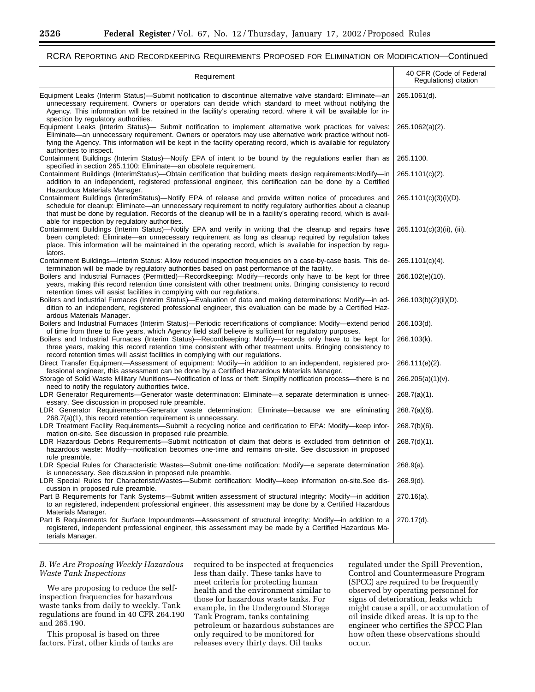# RCRA REPORTING AND RECORDKEEPING REQUIREMENTS PROPOSED FOR ELIMINATION OR MODIFICATION—Continued

| Requirement                                                                                                                                                                                                                                                                                                                                                                                                               | 40 CFR (Code of Federal<br>Regulations) citation |
|---------------------------------------------------------------------------------------------------------------------------------------------------------------------------------------------------------------------------------------------------------------------------------------------------------------------------------------------------------------------------------------------------------------------------|--------------------------------------------------|
| Equipment Leaks (Interim Status)—Submit notification to discontinue alternative valve standard: Eliminate—an<br>unnecessary requirement. Owners or operators can decide which standard to meet without notifying the<br>Agency. This information will be retained in the facility's operating record, where it will be available for in-<br>spection by regulatory authorities.                                           | 265.1061(d).                                     |
| Equipment Leaks (Interim Status)— Submit notification to implement alternative work practices for valves:<br>Eliminate—an unnecessary requirement. Owners or operators may use alternative work practice without noti-<br>fying the Agency. This information will be kept in the facility operating record, which is available for regulatory<br>authorities to inspect.                                                  | $265.1062(a)(2)$ .                               |
| Containment Buildings (Interim Status)—Notify EPA of intent to be bound by the regulations earlier than as                                                                                                                                                                                                                                                                                                                | 265.1100.                                        |
| specified in section 265.1100: Eliminate-an obsolete requirement.<br>Containment Buildings (InterimStatus)-Obtain certification that building meets design requirements: Modify-in<br>addition to an independent, registered professional engineer, this certification can be done by a Certified<br>Hazardous Materials Manager.                                                                                         | 265.1101(c)(2).                                  |
| Containment Buildings (InterimStatus)—Notify EPA of release and provide written notice of procedures and<br>schedule for cleanup: Eliminate—an unnecessary requirement to notify regulatory authorities about a cleanup<br>that must be done by regulation. Records of the cleanup will be in a facility's operating record, which is avail-<br>able for inspection by regulatory authorities.                            | 265.1101(c)(3)(i)(D).                            |
| Containment Buildings (Interim Status)—Notify EPA and verify in writing that the cleanup and repairs have<br>been completed: Eliminate-an unnecessary requirement as long as cleanup required by regulation takes<br>place. This information will be maintained in the operating record, which is available for inspection by regu-<br>lators.                                                                            | 265.1101(c)(3)(ii), (iii).                       |
| Containment Buildings—Interim Status: Allow reduced inspection frequencies on a case-by-case basis. This de-<br>termination will be made by regulatory authorities based on past performance of the facility.                                                                                                                                                                                                             | 265.1101(c)(4).                                  |
| Boilers and Industrial Furnaces (Permitted)—Recordkeeping: Modify—records only have to be kept for three<br>years, making this record retention time consistent with other treatment units. Bringing consistency to record<br>retention times will assist facilities in complying with our regulations.                                                                                                                   | 266.102(e)(10).                                  |
| Boilers and Industrial Furnaces (Interim Status)—Evaluation of data and making determinations: Modify—in ad-<br>dition to an independent, registered professional engineer, this evaluation can be made by a Certified Haz-<br>ardous Materials Manager.                                                                                                                                                                  | 266.103(b)(2)(ii)(D).                            |
| Boilers and Industrial Furnaces (Interim Status)—Periodic recertifications of compliance: Modify—extend period                                                                                                                                                                                                                                                                                                            | 266.103(d).                                      |
| of time from three to five years, which Agency field staff believe is sufficient for regulatory purposes.<br>Boilers and Industrial Furnaces (Interim Status)-Recordkeeping: Modify-records only have to be kept for<br>three years, making this record retention time consistent with other treatment units. Bringing consistency to<br>record retention times will assist facilities in complying with our regulations. | 266.103(k).                                      |
| Direct Transfer Equipment—Assessment of equipment: Modify—in addition to an independent, registered pro-                                                                                                                                                                                                                                                                                                                  | 266.111(e)(2).                                   |
| fessional engineer, this assessment can be done by a Certified Hazardous Materials Manager.<br>Storage of Solid Waste Military Munitions—Notification of loss or theft: Simplify notification process—there is no<br>need to notify the regulatory authorities twice.                                                                                                                                                     | $266.205(a)(1)(v)$ .                             |
| LDR Generator Requirements—Generator waste determination: Eliminate—a separate determination is unnec-                                                                                                                                                                                                                                                                                                                    | $268.7(a)(1)$ .                                  |
| essary. See discussion in proposed rule preamble.<br>LDR Generator Requirements-Generator waste determination: Eliminate-because we are eliminating<br>268.7(a)(1), this record retention requirement is unnecessary.                                                                                                                                                                                                     | $268.7(a)(6)$ .                                  |
| LDR Treatment Facility Requirements-Submit a recycling notice and certification to EPA: Modify-keep infor-                                                                                                                                                                                                                                                                                                                | $268.7(b)(6)$ .                                  |
| mation on-site. See discussion in proposed rule preamble.<br>LDR Hazardous Debris Requirements-Submit notification of claim that debris is excluded from definition of<br>hazardous waste: Modify-notification becomes one-time and remains on-site. See discussion in proposed<br>rule preamble.                                                                                                                         | $268.7(d)(1)$ .                                  |
| LDR Special Rules for Characteristic Wastes—Submit one-time notification: Modify—a separate determination                                                                                                                                                                                                                                                                                                                 | $268.9(a)$ .                                     |
| is unnecessary. See discussion in proposed rule preamble.<br>LDR Special Rules for CharacteristicWastes-Submit certification: Modify-keep information on-site.See dis-<br>cussion in proposed rule preamble.                                                                                                                                                                                                              | $268.9(d)$ .                                     |
| Part B Requirements for Tank Systems-Submit written assessment of structural integrity: Modify-in addition<br>to an registered, independent professional engineer, this assessment may be done by a Certified Hazardous<br>Materials Manager.                                                                                                                                                                             | $270.16(a)$ .                                    |
| Part B Requirements for Surface Impoundments—Assessment of structural integrity: Modify—in addition to a<br>registered, independent professional engineer, this assessment may be made by a Certified Hazardous Ma-<br>terials Manager.                                                                                                                                                                                   | 270.17(d).                                       |

# *B. We Are Proposing Weekly Hazardous Waste Tank Inspections*

We are proposing to reduce the selfinspection frequencies for hazardous waste tanks from daily to weekly. Tank regulations are found in 40 CFR 264.190 and 265.190.

This proposal is based on three factors. First, other kinds of tanks are required to be inspected at frequencies less than daily. These tanks have to meet criteria for protecting human health and the environment similar to those for hazardous waste tanks. For example, in the Underground Storage Tank Program, tanks containing petroleum or hazardous substances are only required to be monitored for releases every thirty days. Oil tanks

regulated under the Spill Prevention, Control and Countermeasure Program (SPCC) are required to be frequently observed by operating personnel for signs of deterioration, leaks which might cause a spill, or accumulation of oil inside diked areas. It is up to the engineer who certifies the SPCC Plan how often these observations should occur.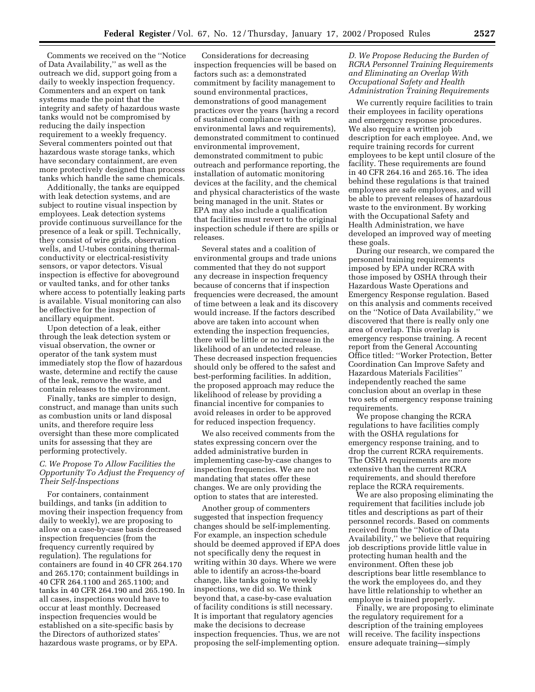Comments we received on the ''Notice of Data Availability,'' as well as the outreach we did, support going from a daily to weekly inspection frequency. Commenters and an expert on tank systems made the point that the integrity and safety of hazardous waste tanks would not be compromised by reducing the daily inspection requirement to a weekly frequency. Several commenters pointed out that hazardous waste storage tanks, which have secondary containment, are even more protectively designed than process tanks which handle the same chemicals.

Additionally, the tanks are equipped with leak detection systems, and are subject to routine visual inspection by employees. Leak detection systems provide continuous surveillance for the presence of a leak or spill. Technically, they consist of wire grids, observation wells, and U-tubes containing thermalconductivity or electrical-resistivity sensors, or vapor detectors. Visual inspection is effective for aboveground or vaulted tanks, and for other tanks where access to potentially leaking parts is available. Visual monitoring can also be effective for the inspection of ancillary equipment.

Upon detection of a leak, either through the leak detection system or visual observation, the owner or operator of the tank system must immediately stop the flow of hazardous waste, determine and rectify the cause of the leak, remove the waste, and contain releases to the environment.

Finally, tanks are simpler to design, construct, and manage than units such as combustion units or land disposal units, and therefore require less oversight than these more complicated units for assessing that they are performing protectively.

# *C. We Propose To Allow Facilities the Opportunity To Adjust the Frequency of Their Self-Inspections*

For containers, containment buildings, and tanks (in addition to moving their inspection frequency from daily to weekly), we are proposing to allow on a case-by-case basis decreased inspection frequencies (from the frequency currently required by regulation). The regulations for containers are found in 40 CFR 264.170 and 265.170; containment buildings in 40 CFR 264.1100 and 265.1100; and tanks in 40 CFR 264.190 and 265.190. In all cases, inspections would have to occur at least monthly. Decreased inspection frequencies would be established on a site-specific basis by the Directors of authorized states' hazardous waste programs, or by EPA.

Considerations for decreasing inspection frequencies will be based on factors such as: a demonstrated commitment by facility management to sound environmental practices, demonstrations of good management practices over the years (having a record of sustained compliance with environmental laws and requirements), demonstrated commitment to continued environmental improvement, demonstrated commitment to pubic outreach and performance reporting, the installation of automatic monitoring devices at the facility, and the chemical and physical characteristics of the waste being managed in the unit. States or EPA may also include a qualification that facilities must revert to the original inspection schedule if there are spills or releases.

Several states and a coalition of environmental groups and trade unions commented that they do not support any decrease in inspection frequency because of concerns that if inspection frequencies were decreased, the amount of time between a leak and its discovery would increase. If the factors described above are taken into account when extending the inspection frequencies, there will be little or no increase in the likelihood of an undetected release. These decreased inspection frequencies should only be offered to the safest and best-performing facilities. In addition, the proposed approach may reduce the likelihood of release by providing a financial incentive for companies to avoid releases in order to be approved for reduced inspection frequency.

We also received comments from the states expressing concern over the added administrative burden in implementing case-by-case changes to inspection frequencies. We are not mandating that states offer these changes. We are only providing the option to states that are interested.

Another group of commenters suggested that inspection frequency changes should be self-implementing. For example, an inspection schedule should be deemed approved if EPA does not specifically deny the request in writing within 30 days. Where we were able to identify an across-the-board change, like tanks going to weekly inspections, we did so. We think beyond that, a case-by-case evaluation of facility conditions is still necessary. It is important that regulatory agencies make the decisions to decrease inspection frequencies. Thus, we are not proposing the self-implementing option.

# *D. We Propose Reducing the Burden of RCRA Personnel Training Requirements and Eliminating an Overlap With Occupational Safety and Health Administration Training Requirements*

We currently require facilities to train their employees in facility operations and emergency response procedures. We also require a written job description for each employee. And, we require training records for current employees to be kept until closure of the facility. These requirements are found in 40 CFR 264.16 and 265.16. The idea behind these regulations is that trained employees are safe employees, and will be able to prevent releases of hazardous waste to the environment. By working with the Occupational Safety and Health Administration, we have developed an improved way of meeting these goals.

During our research, we compared the personnel training requirements imposed by EPA under RCRA with those imposed by OSHA through their Hazardous Waste Operations and Emergency Response regulation. Based on this analysis and comments received on the ''Notice of Data Availability,'' we discovered that there is really only one area of overlap. This overlap is emergency response training. A recent report from the General Accounting Office titled: ''Worker Protection, Better Coordination Can Improve Safety and Hazardous Materials Facilities'' independently reached the same conclusion about an overlap in these two sets of emergency response training requirements.

We propose changing the RCRA regulations to have facilities comply with the OSHA regulations for emergency response training, and to drop the current RCRA requirements. The OSHA requirements are more extensive than the current RCRA requirements, and should therefore replace the RCRA requirements.

We are also proposing eliminating the requirement that facilities include job titles and descriptions as part of their personnel records. Based on comments received from the ''Notice of Data Availability,'' we believe that requiring job descriptions provide little value in protecting human health and the environment. Often these job descriptions bear little resemblance to the work the employees do, and they have little relationship to whether an employee is trained properly.

Finally, we are proposing to eliminate the regulatory requirement for a description of the training employees will receive. The facility inspections ensure adequate training—simply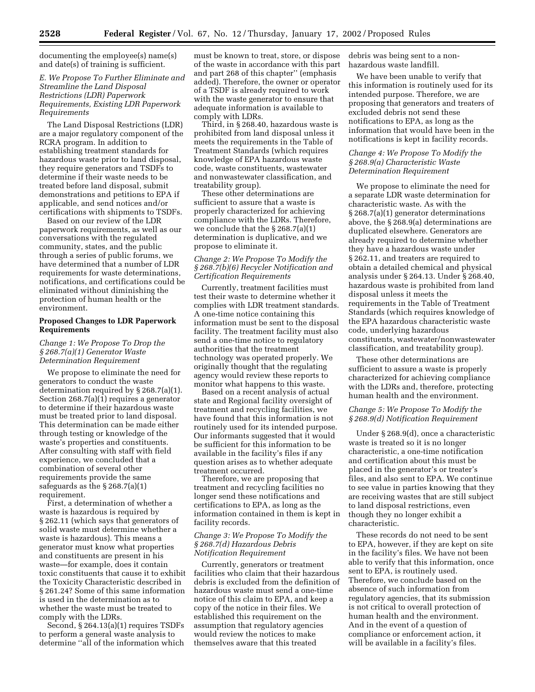documenting the employee(s) name(s) and date(s) of training is sufficient.

# *E. We Propose To Further Eliminate and Streamline the Land Disposal Restrictions (LDR) Paperwork Requirements, Existing LDR Paperwork Requirements*

The Land Disposal Restrictions (LDR) are a major regulatory component of the RCRA program. In addition to establishing treatment standards for hazardous waste prior to land disposal, they require generators and TSDFs to determine if their waste needs to be treated before land disposal, submit demonstrations and petitions to EPA if applicable, and send notices and/or certifications with shipments to TSDFs.

Based on our review of the LDR paperwork requirements, as well as our conversations with the regulated community, states, and the public through a series of public forums, we have determined that a number of LDR requirements for waste determinations, notifications, and certifications could be eliminated without diminishing the protection of human health or the environment.

# **Proposed Changes to LDR Paperwork Requirements**

# *Change 1: We Propose To Drop the § 268.7(a)(1) Generator Waste Determination Requirement*

We propose to eliminate the need for generators to conduct the waste determination required by § 268.7(a)(1). Section 268.7(a)(1) requires a generator to determine if their hazardous waste must be treated prior to land disposal. This determination can be made either through testing or knowledge of the waste's properties and constituents. After consulting with staff with field experience, we concluded that a combination of several other requirements provide the same safeguards as the § 268.7(a)(1) requirement.

First, a determination of whether a waste is hazardous is required by § 262.11 (which says that generators of solid waste must determine whether a waste is hazardous). This means a generator must know what properties and constituents are present in his waste—for example, does it contain toxic constituents that cause it to exhibit the Toxicity Characteristic described in § 261.24? Some of this same information is used in the determination as to whether the waste must be treated to comply with the LDRs.

Second, § 264.13(a)(1) requires TSDFs to perform a general waste analysis to determine ''all of the information which must be known to treat, store, or dispose of the waste in accordance with this part and part 268 of this chapter'' (emphasis added). Therefore, the owner or operator of a TSDF is already required to work with the waste generator to ensure that adequate information is available to comply with LDRs.

Third, in § 268.40, hazardous waste is prohibited from land disposal unless it meets the requirements in the Table of Treatment Standards (which requires knowledge of EPA hazardous waste code, waste constituents, wastewater and nonwastewater classification, and treatability group).

These other determinations are sufficient to assure that a waste is properly characterized for achieving compliance with the LDRs. Therefore, we conclude that the § 268.7(a)(1) determination is duplicative, and we propose to eliminate it.

# *Change 2: We Propose To Modify the § 268.7(b)(6) Recycler Notification and Certification Requirements*

Currently, treatment facilities must test their waste to determine whether it complies with LDR treatment standards. A one-time notice containing this information must be sent to the disposal facility. The treatment facility must also send a one-time notice to regulatory authorities that the treatment technology was operated properly. We originally thought that the regulating agency would review these reports to monitor what happens to this waste.

Based on a recent analysis of actual state and Regional facility oversight of treatment and recycling facilities, we have found that this information is not routinely used for its intended purpose. Our informants suggested that it would be sufficient for this information to be available in the facility's files if any question arises as to whether adequate treatment occurred.

Therefore, we are proposing that treatment and recycling facilities no longer send these notifications and certifications to EPA, as long as the information contained in them is kept in facility records.

# *Change 3: We Propose To Modify the § 268.7(d) Hazardous Debris Notification Requirement*

Currently, generators or treatment facilities who claim that their hazardous debris is excluded from the definition of hazardous waste must send a one-time notice of this claim to EPA, and keep a copy of the notice in their files. We established this requirement on the assumption that regulatory agencies would review the notices to make themselves aware that this treated

debris was being sent to a nonhazardous waste landfill.

We have been unable to verify that this information is routinely used for its intended purpose. Therefore, we are proposing that generators and treaters of excluded debris not send these notifications to EPA, as long as the information that would have been in the notifications is kept in facility records.

# *Change 4: We Propose To Modify the § 268.9(a) Characteristic Waste Determination Requirement*

We propose to eliminate the need for a separate LDR waste determination for characteristic waste. As with the § 268.7(a)(1) generator determinations above, the § 268.9(a) determinations are duplicated elsewhere. Generators are already required to determine whether they have a hazardous waste under § 262.11, and treaters are required to obtain a detailed chemical and physical analysis under § 264.13. Under § 268.40, hazardous waste is prohibited from land disposal unless it meets the requirements in the Table of Treatment Standards (which requires knowledge of the EPA hazardous characteristic waste code, underlying hazardous constituents, wastewater/nonwastewater classification, and treatability group).

These other determinations are sufficient to assure a waste is properly characterized for achieving compliance with the LDRs and, therefore, protecting human health and the environment.

# *Change 5: We Propose To Modify the § 268.9(d) Notification Requirement*

Under § 268.9(d), once a characteristic waste is treated so it is no longer characteristic, a one-time notification and certification about this must be placed in the generator's or treater's files, and also sent to EPA. We continue to see value in parties knowing that they are receiving wastes that are still subject to land disposal restrictions, even though they no longer exhibit a characteristic.

These records do not need to be sent to EPA, however, if they are kept on site in the facility's files. We have not been able to verify that this information, once sent to EPA, is routinely used. Therefore, we conclude based on the absence of such information from regulatory agencies, that its submission is not critical to overall protection of human health and the environment. And in the event of a question of compliance or enforcement action, it will be available in a facility's files.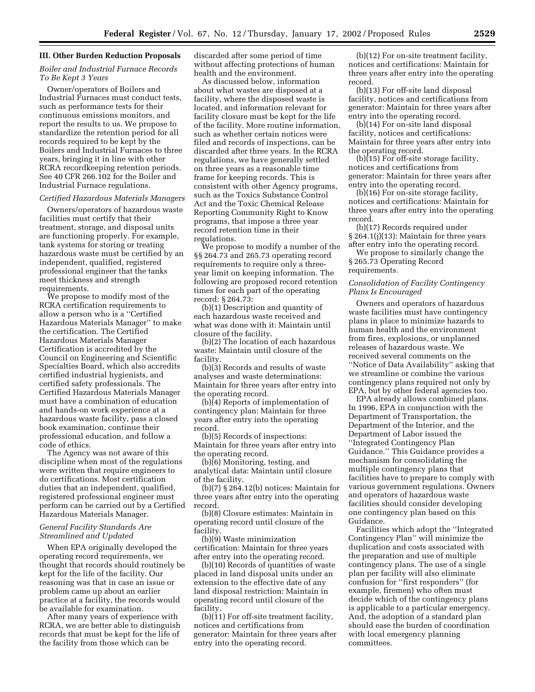#### **III. Other Burden Reduction Proposals**

# *Boiler and Industrial Furnace Records To Be Kept 3 Years*

Owner/operators of Boilers and Industrial Furnaces must conduct tests, such as performance tests for their continuous emissions monitors, and report the results to us. We propose to standardize the retention period for all records required to be kept by the Boilers and Industrial Furnaces to three years, bringing it in line with other RCRA recordkeeping retention periods. See 40 CFR 266.102 for the Boiler and Industrial Furnace regulations.

# *Certified Hazardous Materials Managers*

Owners/operators of hazardous waste facilities must certify that their treatment, storage, and disposal units are functioning properly. For example, tank systems for storing or treating hazardous waste must be certified by an independent, qualified, registered professional engineer that the tanks meet thickness and strength requirements.

We propose to modify most of the RCRA certification requirements to allow a person who is a ''Certified Hazardous Materials Manager'' to make the certification. The Certified Hazardous Materials Manager Certification is accredited by the Council on Engineering and Scientific Specialties Board, which also accredits certified industrial hygienists, and certified safety professionals. The Certified Hazardous Materials Manager must have a combination of education and hands-on work experience at a hazardous waste facility, pass a closed book examination, continue their professional education, and follow a code of ethics.

The Agency was not aware of this discipline when most of the regulations were written that require engineers to do certifications. Most certification duties that an independent, qualified, registered professional engineer must perform can be carried out by a Certified Hazardous Materials Manager.

# *General Facility Standards Are Streamlined and Updated*

When EPA originally developed the operating record requirements, we thought that records should routinely be kept for the life of the facility. Our reasoning was that in case an issue or problem came up about an earlier practice at a facility, the records would be available for examination.

After many years of experience with RCRA, we are better able to distinguish records that must be kept for the life of the facility from those which can be

discarded after some period of time without affecting protections of human health and the environment.

As discussed below, information about what wastes are disposed at a facility, where the disposed waste is located, and information relevant for facility closure must be kept for the life of the facility. More routine information, such as whether certain notices were filed and records of inspections, can be discarded after three years. In the RCRA regulations, we have generally settled on three years as a reasonable time frame for keeping records. This is consistent with other Agency programs, such as the Toxics Substance Control Act and the Toxic Chemical Release Reporting Community Right to Know programs, that impose a three year record retention time in their regulations.

We propose to modify a number of the §§ 264.73 and 265.73 operating record requirements to require only a threeyear limit on keeping information. The following are proposed record retention times for each part of the operating record: § 264.73:

(b)(1) Description and quantity of each hazardous waste received and what was done with it: Maintain until closure of the facility.

(b)(2) The location of each hazardous waste: Maintain until closure of the facility.

(b)(3) Records and results of waste analyses and waste determinations: Maintain for three years after entry into the operating record.

(b)(4) Reports of implementation of contingency plan: Maintain for three years after entry into the operating record.

(b)(5) Records of inspections: Maintain for three years after entry into the operating record.

(b)(6) Monitoring, testing, and analytical data: Maintain until closure of the facility.

(b)(7) § 264.12(b) notices: Maintain for three years after entry into the operating record.

(b)(8) Closure estimates: Maintain in operating record until closure of the facility.

(b)(9) Waste minimization certification: Maintain for three years after entry into the operating record.

(b)(10) Records of quantities of waste placed in land disposal units under an extension to the effective date of any land disposal restriction: Maintain in operating record until closure of the facility.

 $(b)(11)$  For off-site treatment facility, notices and certifications from generator: Maintain for three years after entry into the operating record.

(b)(12) For on-site treatment facility, notices and certifications: Maintain for three years after entry into the operating record.

(b)(13) For off-site land disposal facility, notices and certifications from generator: Maintain for three years after entry into the operating record.

(b)(14) For on-site land disposal facility, notices and certifications: Maintain for three years after entry into the operating record.

(b)(15) For off-site storage facility, notices and certifications from generator: Maintain for three years after entry into the operating record.

(b)(16) For on-site storage facility, notices and certifications: Maintain for three years after entry into the operating record.

(b)(17) Records required under § 264.1(j)(13): Maintain for three years after entry into the operating record.

We propose to similarly change the § 265.73 Operating Record requirements.

# *Consolidation of Facility Contingency Plans Is Encouraged*

Owners and operators of hazardous waste facilities must have contingency plans in place to minimize hazards to human health and the environment from fires, explosions, or unplanned releases of hazardous waste. We received several comments on the ''Notice of Data Availability'' asking that we streamline or combine the various contingency plans required not only by EPA, but by other federal agencies too.

EPA already allows combined plans. In 1996, EPA in conjunction with the Department of Transportation, the Department of the Interior, and the Department of Labor issued the ''Integrated Contingency Plan Guidance.'' This Guidance provides a mechanism for consolidating the multiple contingency plans that facilities have to prepare to comply with various government regulations. Owners and operators of hazardous waste facilities should consider developing one contingency plan based on this Guidance.

Facilities which adopt the ''Integrated Contingency Plan'' will minimize the duplication and costs associated with the preparation and use of multiple contingency plans. The use of a single plan per facility will also eliminate confusion for ''first responders'' (for example, firemen) who often must decide which of the contingency plans is applicable to a particular emergency. And, the adoption of a standard plan should ease the burden of coordination with local emergency planning committees.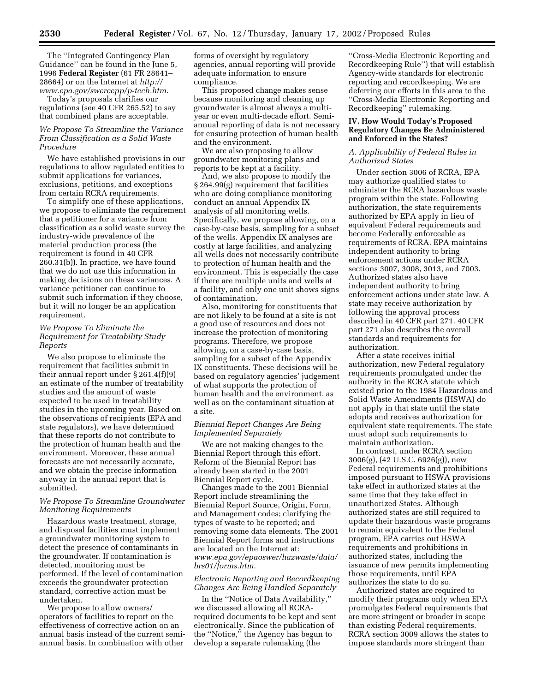The ''Integrated Contingency Plan Guidance'' can be found in the June 5, 1996 **Federal Register** (61 FR 28641– 28664) or on the Internet at *http:// www.epa.gov/swercepp/p-tech.htm*.

Today's proposals clarifies our regulations (see 40 CFR 265.52) to say that combined plans are acceptable.

# *We Propose To Streamline the Variance From Classification as a Solid Waste Procedure*

We have established provisions in our regulations to allow regulated entities to submit applications for variances, exclusions, petitions, and exceptions from certain RCRA requirements.

To simplify one of these applications, we propose to eliminate the requirement that a petitioner for a variance from classification as a solid waste survey the industry-wide prevalence of the material production process (the requirement is found in 40 CFR 260.31(b)). In practice, we have found that we do not use this information in making decisions on these variances. A variance petitioner can continue to submit such information if they choose, but it will no longer be an application requirement.

# *We Propose To Eliminate the Requirement for Treatability Study Reports*

We also propose to eliminate the requirement that facilities submit in their annual report under § 261.4(f)(9) an estimate of the number of treatability studies and the amount of waste expected to be used in treatability studies in the upcoming year. Based on the observations of recipients (EPA and state regulators), we have determined that these reports do not contribute to the protection of human health and the environment. Moreover, these annual forecasts are not necessarily accurate, and we obtain the precise information anyway in the annual report that is submitted.

# *We Propose To Streamline Groundwater Monitoring Requirements*

Hazardous waste treatment, storage, and disposal facilities must implement a groundwater monitoring system to detect the presence of contaminants in the groundwater. If contamination is detected, monitoring must be performed. If the level of contamination exceeds the groundwater protection standard, corrective action must be undertaken.

We propose to allow owners/ operators of facilities to report on the effectiveness of corrective action on an annual basis instead of the current semiannual basis. In combination with other

forms of oversight by regulatory agencies, annual reporting will provide adequate information to ensure compliance.

This proposed change makes sense because monitoring and cleaning up groundwater is almost always a multiyear or even multi-decade effort. Semiannual reporting of data is not necessary for ensuring protection of human health and the environment.

We are also proposing to allow groundwater monitoring plans and reports to be kept at a facility.

And, we also propose to modify the § 264.99(g) requirement that facilities who are doing compliance monitoring conduct an annual Appendix IX analysis of all monitoring wells. Specifically, we propose allowing, on a case-by-case basis, sampling for a subset of the wells. Appendix IX analyses are costly at large facilities, and analyzing all wells does not necessarily contribute to protection of human health and the environment. This is especially the case if there are multiple units and wells at a facility, and only one unit shows signs of contamination.

Also, monitoring for constituents that are not likely to be found at a site is not a good use of resources and does not increase the protection of monitoring programs. Therefore, we propose allowing, on a case-by-case basis, sampling for a subset of the Appendix IX constituents. These decisions will be based on regulatory agencies' judgement of what supports the protection of human health and the environment, as well as on the contaminant situation at a site.

# *Biennial Report Changes Are Being Implemented Separately*

We are not making changes to the Biennial Report through this effort. Reform of the Biennial Report has already been started in the 2001 Biennial Report cycle.

Changes made to the 2001 Biennial Report include streamlining the Biennial Report Source, Origin, Form, and Management codes; clarifying the types of waste to be reported; and removing some data elements. The 2001 Biennial Report forms and instructions are located on the Internet at: *www.epa.gov/epaoswer/hazwaste/data/ brs01/forms.htm.* 

# *Electronic Reporting and Recordkeeping Changes Are Being Handled Separately*

In the ''Notice of Data Availability,'' we discussed allowing all RCRArequired documents to be kept and sent electronically. Since the publication of the ''Notice,'' the Agency has begun to develop a separate rulemaking (the

''Cross-Media Electronic Reporting and Recordkeeping Rule'') that will establish Agency-wide standards for electronic reporting and recordkeeping. We are deferring our efforts in this area to the ''Cross-Media Electronic Reporting and Recordkeeping'' rulemaking.

# **IV. How Would Today's Proposed Regulatory Changes Be Administered and Enforced in the States?**

# *A. Applicability of Federal Rules in Authorized States*

Under section 3006 of RCRA, EPA may authorize qualified states to administer the RCRA hazardous waste program within the state. Following authorization, the state requirements authorized by EPA apply in lieu of equivalent Federal requirements and become Federally enforceable as requirements of RCRA. EPA maintains independent authority to bring enforcement actions under RCRA sections 3007, 3008, 3013, and 7003. Authorized states also have independent authority to bring enforcement actions under state law. A state may receive authorization by following the approval process described in 40 CFR part 271. 40 CFR part 271 also describes the overall standards and requirements for authorization.

After a state receives initial authorization, new Federal regulatory requirements promulgated under the authority in the RCRA statute which existed prior to the 1984 Hazardous and Solid Waste Amendments (HSWA) do not apply in that state until the state adopts and receives authorization for equivalent state requirements. The state must adopt such requirements to maintain authorization.

In contrast, under RCRA section 3006(g), (42 U.S.C. 6926(g)), new Federal requirements and prohibitions imposed pursuant to HSWA provisions take effect in authorized states at the same time that they take effect in unauthorized States. Although authorized states are still required to update their hazardous waste programs to remain equivalent to the Federal program, EPA carries out HSWA requirements and prohibitions in authorized states, including the issuance of new permits implementing those requirements, until EPA authorizes the state to do so.

Authorized states are required to modify their programs only when EPA promulgates Federal requirements that are more stringent or broader in scope than existing Federal requirements. RCRA section 3009 allows the states to impose standards more stringent than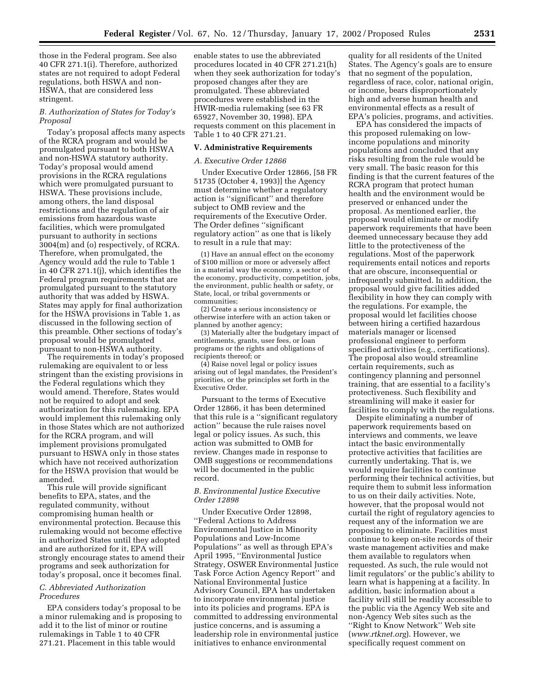those in the Federal program. See also 40 CFR 271.1(i). Therefore, authorized states are not required to adopt Federal regulations, both HSWA and non-HSWA, that are considered less stringent.

# *B. Authorization of States for Today's Proposal*

Today's proposal affects many aspects of the RCRA program and would be promulgated pursuant to both HSWA and non-HSWA statutory authority. Today's proposal would amend provisions in the RCRA regulations which were promulgated pursuant to HSWA. These provisions include, among others, the land disposal restrictions and the regulation of air emissions from hazardous waste facilities, which were promulgated pursuant to authority in sections 3004(m) and (o) respectively, of RCRA. Therefore, when promulgated, the Agency would add the rule to Table 1 in 40 CFR 271.1(j), which identifies the Federal program requirements that are promulgated pursuant to the statutory authority that was added by HSWA. States may apply for final authorization for the HSWA provisions in Table 1, as discussed in the following section of this preamble. Other sections of today's proposal would be promulgated pursuant to non-HSWA authority.

The requirements in today's proposed rulemaking are equivalent to or less stringent than the existing provisions in the Federal regulations which they would amend. Therefore, States would not be required to adopt and seek authorization for this rulemaking. EPA would implement this rulemaking only in those States which are not authorized for the RCRA program, and will implement provisions promulgated pursuant to HSWA only in those states which have not received authorization for the HSWA provision that would be amended.

This rule will provide significant benefits to EPA, states, and the regulated community, without compromising human health or environmental protection. Because this rulemaking would not become effective in authorized States until they adopted and are authorized for it, EPA will strongly encourage states to amend their programs and seek authorization for today's proposal, once it becomes final.

# *C. Abbreviated Authorization Procedures*

EPA considers today's proposal to be a minor rulemaking and is proposing to add it to the list of minor or routine rulemakings in Table 1 to 40 CFR 271.21. Placement in this table would

enable states to use the abbreviated procedures located in 40 CFR 271.21(h) when they seek authorization for today's proposed changes after they are promulgated. These abbreviated procedures were established in the HWIR-media rulemaking (see 63 FR 65927, November 30, 1998). EPA requests comment on this placement in Table 1 to 40 CFR 271.21.

#### **V. Administrative Requirements**

#### *A. Executive Order 12866*

Under Executive Order 12866, [58 FR 51735 (October 4, 1993)] the Agency must determine whether a regulatory action is ''significant'' and therefore subject to OMB review and the requirements of the Executive Order. The Order defines ''significant regulatory action'' as one that is likely to result in a rule that may:

(1) Have an annual effect on the economy of \$100 million or more or adversely affect in a material way the economy, a sector of the economy, productivity, competition, jobs, the environment, public health or safety, or State, local, or tribal governments or communities;

(2) Create a serious inconsistency or otherwise interfere with an action taken or planned by another agency;

(3) Materially alter the budgetary impact of entitlements, grants, user fees, or loan programs or the rights and obligations of recipients thereof; or

(4) Raise novel legal or policy issues arising out of legal mandates, the President's priorities, or the principles set forth in the Executive Order.

Pursuant to the terms of Executive Order 12866, it has been determined that this rule is a ''significant regulatory action'' because the rule raises novel legal or policy issues. As such, this action was submitted to OMB for review. Changes made in response to OMB suggestions or recommendations will be documented in the public record.

# *B. Environmental Justice Executive Order 12898*

Under Executive Order 12898, ''Federal Actions to Address Environmental Justice in Minority Populations and Low-Income Populations'' as well as through EPA's April 1995, ''Environmental Justice Strategy, OSWER Environmental Justice Task Force Action Agency Report'' and National Environmental Justice Advisory Council, EPA has undertaken to incorporate environmental justice into its policies and programs. EPA is committed to addressing environmental justice concerns, and is assuming a leadership role in environmental justice initiatives to enhance environmental

quality for all residents of the United States. The Agency's goals are to ensure that no segment of the population, regardless of race, color, national origin, or income, bears disproportionately high and adverse human health and environmental effects as a result of EPA's policies, programs, and activities.

EPA has considered the impacts of this proposed rulemaking on lowincome populations and minority populations and concluded that any risks resulting from the rule would be very small. The basic reason for this finding is that the current features of the RCRA program that protect human health and the environment would be preserved or enhanced under the proposal. As mentioned earlier, the proposal would eliminate or modify paperwork requirements that have been deemed unnecessary because they add little to the protectiveness of the regulations. Most of the paperwork requirements entail notices and reports that are obscure, inconsequential or infrequently submitted. In addition, the proposal would give facilities added flexibility in how they can comply with the regulations. For example, the proposal would let facilities choose between hiring a certified hazardous materials manager or licensed professional engineer to perform specified activities (e.g., certifications). The proposal also would streamline certain requirements, such as contingency planning and personnel training, that are essential to a facility's protectiveness. Such flexibility and streamlining will make it easier for facilities to comply with the regulations.

Despite eliminating a number of paperwork requirements based on interviews and comments, we leave intact the basic environmentally protective activities that facilities are currently undertaking. That is, we would require facilities to continue performing their technical activities, but require them to submit less information to us on their daily activities. Note, however, that the proposal would not curtail the right of regulatory agencies to request any of the information we are proposing to eliminate. Facilities must continue to keep on-site records of their waste management activities and make them available to regulators when requested. As such, the rule would not limit regulators' or the public's ability to learn what is happening at a facility. In addition, basic information about a facility will still be readily accessible to the public via the Agency Web site and non-Agency Web sites such as the ''Right to Know Network'' Web site (*www.rtknet.org*). However, we specifically request comment on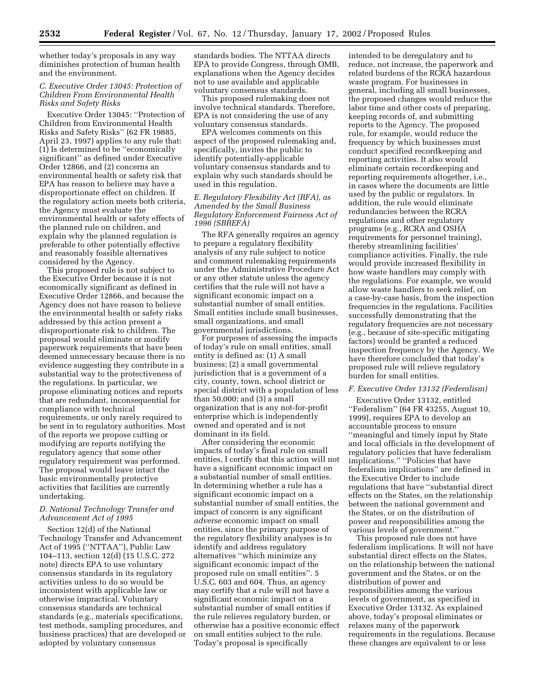whether today's proposals in any way diminishes protection of human health and the environment.

# *C. Executive Order 13045: Protection of Children From Environmental Health Risks and Safety Risks*

Executive Order 13045: ''Protection of Children from Environmental Health Risks and Safety Risks'' (62 FR 19885, April 23, 1997) applies to any rule that: (1) Is determined to be ''economically significant'' as defined under Executive Order 12866, and (2) concerns an environmental health or safety risk that EPA has reason to believe may have a disproportionate effect on children. If the regulatory action meets both criteria, the Agency must evaluate the environmental health or safety effects of the planned rule on children, and explain why the planned regulation is preferable to other potentially effective and reasonably feasible alternatives considered by the Agency.

This proposed rule is not subject to the Executive Order because it is not economically significant as defined in Executive Order 12866, and because the Agency does not have reason to believe the environmental health or safety risks addressed by this action present a disproportionate risk to children. The proposal would eliminate or modify paperwork requirements that have been deemed unnecessary because there is no evidence suggesting they contribute in a substantial way to the protectiveness of the regulations. In particular, we propose eliminating notices and reports that are redundant, inconsequential for compliance with technical requirements, or only rarely required to be sent in to regulatory authorities. Most of the reports we propose cutting or modifying are reports notifying the regulatory agency that some other regulatory requirement was performed. The proposal would leave intact the basic environmentally protective activities that facilities are currently undertaking.

# *D. National Technology Transfer and Advancement Act of 1995*

Section 12(d) of the National Technology Transfer and Advancement Act of 1995 (''NTTAA''), Public Law 104–113, section 12(d) (15 U.S.C. 272 note) directs EPA to use voluntary consensus standards in its regulatory activities unless to do so would be inconsistent with applicable law or otherwise impractical. Voluntary consensus standards are technical standards (e.g., materials specifications, test methods, sampling procedures, and business practices) that are developed or adopted by voluntary consensus

standards bodies. The NTTAA directs EPA to provide Congress, through OMB, explanations when the Agency decides not to use available and applicable voluntary consensus standards.

This proposed rulemaking does not involve technical standards. Therefore, EPA is not considering the use of any voluntary consensus standards.

EPA welcomes comments on this aspect of the proposed rulemaking and, specifically, invites the public to identify potentially-applicable voluntary consensus standards and to explain why such standards should be used in this regulation.

# *E. Regulatory Flexibility Act (RFA), as Amended by the Small Business Regulatory Enforcement Fairness Act of 1996 (SBREFA)*

The RFA generally requires an agency to prepare a regulatory flexibility analysis of any rule subject to notice and comment rulemaking requirements under the Administrative Procedure Act or any other statute unless the agency certifies that the rule will not have a significant economic impact on a substantial number of small entities. Small entities include small businesses, small organizations, and small governmental jurisdictions.

For purposes of assessing the impacts of today's rule on small entities, small entity is defined as: (1) A small business; (2) a small governmental jurisdiction that is a government of a city, county, town, school district or special district with a population of less than 50,000; and (3) a small organization that is any not-for-profit enterprise which is independently owned and operated and is not dominant in its field.

After considering the economic impacts of today's final rule on small entities, I certify that this action will not have a significant economic impact on a substantial number of small entities. In determining whether a rule has a significant economic impact on a substantial number of small entities, the impact of concern is any significant *adverse* economic impact on small entities, since the primary purpose of the regulatory flexibility analyses is to identify and address regulatory alternatives ''which minimize any significant economic impact of the proposed rule on small entities''. 5 U.S.C. 603 and 604. Thus, an agency may certify that a rule will not have a significant economic impact on a substantial number of small entities if the rule relieves regulatory burden, or otherwise has a positive economic effect on small entities subject to the rule. Today's proposal is specifically

intended to be deregulatory and to reduce, not increase, the paperwork and related burdens of the RCRA hazardous waste program. For businesses in general, including all small businesses, the proposed changes would reduce the labor time and other costs of preparing, keeping records of, and submitting reports to the Agency. The proposed rule, for example, would reduce the frequency by which businesses must conduct specified recordkeeping and reporting activities. It also would eliminate certain recordkeeping and reporting requirements altogether, i.e., in cases where the documents are little used by the public or regulators. In addition, the rule would eliminate redundancies between the RCRA regulations and other regulatory programs (e.g., RCRA and OSHA requirements for personnel training), thereby streamlining facilities' compliance activities. Finally, the rule would provide increased flexibility in how waste handlers may comply with the regulations. For example, we would allow waste handlers to seek relief, on a case-by-case basis, from the inspection frequencies in the regulations. Facilities successfully demonstrating that the regulatory frequencies are not necessary (e.g., because of site-specific mitigating factors) would be granted a reduced inspection frequency by the Agency. We have therefore concluded that today's proposed rule will relieve regulatory burden for small entities.

# *F. Executive Order 13132 (Federalism)*

Executive Order 13132, entitled ''Federalism'' (64 FR 43255, August 10, 1999), requires EPA to develop an accountable process to ensure ''meaningful and timely input by State and local officials in the development of regulatory policies that have federalism implications.'' ''Policies that have federalism implications'' are defined in the Executive Order to include regulations that have ''substantial direct effects on the States, on the relationship between the national government and the States, or on the distribution of power and responsibilities among the various levels of government.''

This proposed rule does not have federalism implications. It will not have substantial direct effects on the States, on the relationship between the national government and the States, or on the distribution of power and responsibilities among the various levels of government, as specified in Executive Order 13132. As explained above, today's proposal eliminates or relaxes many of the paperwork requirements in the regulations. Because these changes are equivalent to or less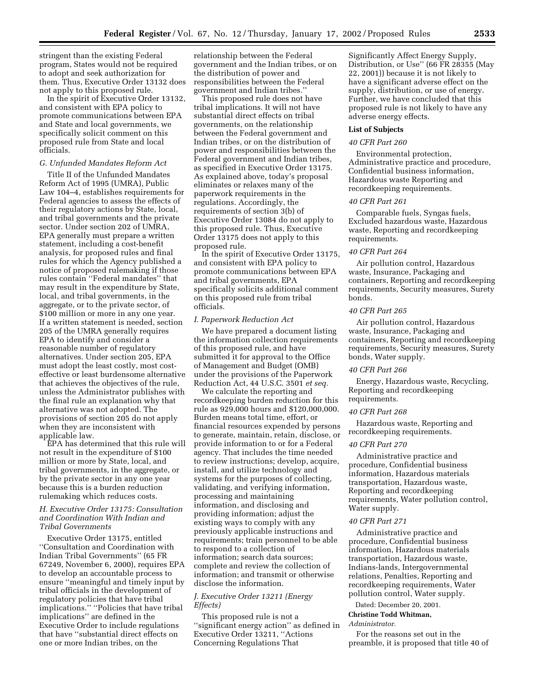stringent than the existing Federal program, States would not be required to adopt and seek authorization for them. Thus, Executive Order 13132 does not apply to this proposed rule.

In the spirit of Executive Order 13132, and consistent with EPA policy to promote communications between EPA and State and local governments, we specifically solicit comment on this proposed rule from State and local officials.

# *G. Unfunded Mandates Reform Act*

Title II of the Unfunded Mandates Reform Act of 1995 (UMRA), Public Law 104–4, establishes requirements for Federal agencies to assess the effects of their regulatory actions by State, local, and tribal governments and the private sector. Under section 202 of UMRA, EPA generally must prepare a written statement, including a cost-benefit analysis, for proposed rules and final rules for which the Agency published a notice of proposed rulemaking if those rules contain ''Federal mandates'' that may result in the expenditure by State, local, and tribal governments, in the aggregate, or to the private sector, of \$100 million or more in any one year. If a written statement is needed, section 205 of the UMRA generally requires EPA to identify and consider a reasonable number of regulatory alternatives. Under section 205, EPA must adopt the least costly, most costeffective or least burdensome alternative that achieves the objectives of the rule, unless the Administrator publishes with the final rule an explanation why that alternative was not adopted. The provisions of section 205 do not apply when they are inconsistent with applicable law.

EPA has determined that this rule will not result in the expenditure of \$100 million or more by State, local, and tribal governments, in the aggregate, or by the private sector in any one year because this is a burden reduction rulemaking which reduces costs.

# *H. Executive Order 13175: Consultation and Coordination With Indian and Tribal Governments*

Executive Order 13175, entitled ''Consultation and Coordination with Indian Tribal Governments'' (65 FR 67249, November 6, 2000), requires EPA to develop an accountable process to ensure ''meaningful and timely input by tribal officials in the development of regulatory policies that have tribal implications.'' ''Policies that have tribal implications'' are defined in the Executive Order to include regulations that have ''substantial direct effects on one or more Indian tribes, on the

relationship between the Federal government and the Indian tribes, or on the distribution of power and responsibilities between the Federal government and Indian tribes.''

This proposed rule does not have tribal implications. It will not have substantial direct effects on tribal governments, on the relationship between the Federal government and Indian tribes, or on the distribution of power and responsibilities between the Federal government and Indian tribes, as specified in Executive Order 13175. As explained above, today's proposal eliminates or relaxes many of the paperwork requirements in the regulations. Accordingly, the requirements of section 3(b) of Executive Order 13084 do not apply to this proposed rule. Thus, Executive Order 13175 does not apply to this proposed rule.

In the spirit of Executive Order 13175, and consistent with EPA policy to promote communications between EPA and tribal governments, EPA specifically solicits additional comment on this proposed rule from tribal officials.

# *I. Paperwork Reduction Act*

We have prepared a document listing the information collection requirements of this proposed rule, and have submitted it for approval to the Office of Management and Budget (OMB) under the provisions of the Paperwork Reduction Act, 44 U.S.C. 3501 *et seq.*

We calculate the reporting and recordkeeping burden reduction for this rule as 929,000 hours and \$120,000,000. Burden means total time, effort, or financial resources expended by persons to generate, maintain, retain, disclose, or provide information to or for a Federal agency. That includes the time needed to review instructions; develop, acquire, install, and utilize technology and systems for the purposes of collecting, validating, and verifying information, processing and maintaining information, and disclosing and providing information; adjust the existing ways to comply with any previously applicable instructions and requirements; train personnel to be able to respond to a collection of information; search data sources; complete and review the collection of information; and transmit or otherwise disclose the information.

# *J. Executive Order 13211 (Energy Effects)*

This proposed rule is not a ''significant energy action'' as defined in Executive Order 13211, ''Actions Concerning Regulations That

Significantly Affect Energy Supply, Distribution, or Use'' (66 FR 28355 (May 22, 2001)) because it is not likely to have a significant adverse effect on the supply, distribution, or use of energy. Further, we have concluded that this proposed rule is not likely to have any adverse energy effects.

# **List of Subjects**

# *40 CFR Part 260*

Environmental protection, Administrative practice and procedure, Confidential business information, Hazardous waste Reporting and recordkeeping requirements.

# *40 CFR Part 261*

Comparable fuels, Syngas fuels, Excluded hazardous waste, Hazardous waste, Reporting and recordkeeping requirements.

#### *40 CFR Part 264*

Air pollution control, Hazardous waste, Insurance, Packaging and containers, Reporting and recordkeeping requirements, Security measures, Surety bonds.

#### *40 CFR Part 265*

Air pollution control, Hazardous waste, Insurance, Packaging and containers, Reporting and recordkeeping requirements, Security measures, Surety bonds, Water supply.

#### *40 CFR Part 266*

Energy, Hazardous waste, Recycling, Reporting and recordkeeping requirements.

# *40 CFR Part 268*

Hazardous waste, Reporting and recordkeeping requirements.

#### *40 CFR Part 270*

Administrative practice and procedure, Confidential business information, Hazardous materials transportation, Hazardous waste, Reporting and recordkeeping requirements, Water pollution control, Water supply.

#### *40 CFR Part 271*

Administrative practice and procedure, Confidential business information, Hazardous materials transportation, Hazardous waste, Indians-lands, Intergovernmental relations, Penalties, Reporting and recordkeeping requirements, Water pollution control, Water supply.

#### Dated: December 20, 2001. **Christine Todd Whitman,**

*Administrator.*

For the reasons set out in the preamble, it is proposed that title 40 of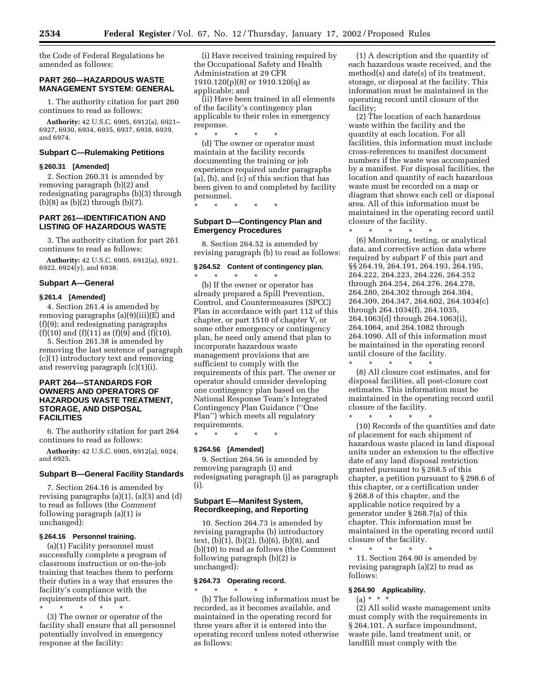the Code of Federal Regulations be amended as follows:

# **PART 260—HAZARDOUS WASTE MANAGEMENT SYSTEM: GENERAL**

1. The authority citation for part 260 continues to read as follows:

**Authority:** 42 U.S.C. 6905, 6912(a), 6921– 6927, 6930, 6934, 6935, 6937, 6938, 6939, and 6974.

# **Subpart C—Rulemaking Petitions**

# **§ 260.31 [Amended]**

2. Section 260.31 is amended by removing paragraph (b)(2) and redesignating paragraphs (b)(3) through (b)(8) as  $(b)(2)$  through  $(b)(7)$ .

# **PART 261—IDENTIFICATION AND LISTING OF HAZARDOUS WASTE**

3. The authority citation for part 261 continues to read as follows:

**Authority:** 42 U.S.C. 6905, 6912(a), 6921, 6922, 6924(y), and 6938.

#### **Subpart A—General**

#### **§ 261.4 [Amended]**

4. Section 261.4 is amended by removing paragraphs (a)(9)(iii)(E) and (f)(9); and redesignating paragraphs  $(f)(10)$  and  $(f)(11)$  as  $(f)(9)$  and  $(f)(10)$ .

5. Section 261.38 is amended by removing the last sentence of paragraph (c)(1) introductory text and removing and reserving paragraph (c)(1)(i).

# **PART 264—STANDARDS FOR OWNERS AND OPERATORS OF HAZARDOUS WASTE TREATMENT, STORAGE, AND DISPOSAL FACILITIES**

6. The authority citation for part 264 continues to read as follows:

**Authority:** 42 U.S.C. 6905, 6912(a), 6924, and 6925.

# **Subpart B—General Facility Standards**

7. Section 264.16 is amended by revising paragraphs  $(a)(1)$ ,  $(a)(3)$  and  $(d)$ to read as follows (the *Comment* following paragraph (a)(1) is unchanged):

#### **§ 264.16 Personnel training.**

(a)(1) Facility personnel must successfully complete a program of classroom instruction or on-the-job training that teaches them to perform their duties in a way that ensures the facility's compliance with the requirements of this part.

\* \* \* \* \* (3) The owner or operator of the facility shall ensure that all personnel potentially involved in emergency response at the facility:

(i) Have received training required by the Occupational Safety and Health Administration at 29 CFR 1910.120(p)(8) or 1910.120(q) as applicable; and

(ii) Have been trained in all elements of the facility's contingency plan applicable to their roles in emergency response.

\* \* \* \* \* (d) The owner or operator must maintain at the facility records documenting the training or job experience required under paragraphs (a), (b), and (c) of this section that has been given to and completed by facility personnel.

\* \* \* \* \*

# **Subpart D—Contingency Plan and Emergency Procedures**

8. Section 264.52 is amended by revising paragraph (b) to read as follows:

#### **§ 264.52 Content of contingency plan.**

\* \* \* \* \* (b) If the owner or operator has already prepared a Spill Prevention, Control, and Countermeasures (SPCC) Plan in accordance with part 112 of this chapter, or part 1510 of chapter V, or some other emergency or contingency plan, he need only amend that plan to incorporate hazardous waste management provisions that are sufficient to comply with the requirements of this part. The owner or operator should consider developing one contingency plan based on the National Response Team's Integrated Contingency Plan Guidance (''One Plan'') which meets all regulatory requirements.

\* \* \* \* \*

#### **§ 264.56 [Amended]**

9. Section 264.56 is amended by removing paragraph (i) and redesignating paragraph (j) as paragraph (i).

# **Subpart E—Manifest System, Recordkeeping, and Reporting**

10. Section 264.73 is amended by revising paragraphs (b) introductory text, (b)(1), (b)(2), (b)(6), (b)(8), and (b)(10) to read as follows (the Comment following paragraph (b)(2) is unchanged):

# **§ 264.73 Operating record.**

\* \* \* \* \* (b) The following information must be recorded, as it becomes available, and maintained in the operating record for three years after it is entered into the operating record unless noted otherwise as follows:

(1) A description and the quantity of each hazardous waste received, and the method(s) and date(s) of its treatment, storage, or disposal at the facility. This information must be maintained in the operating record until closure of the facility;

(2) The location of each hazardous waste within the facility and the quantity at each location. For all facilities, this information must include cross-references to manifest document numbers if the waste was accompanied by a manifest. For disposal facilities, the location and quantity of each hazardous waste must be recorded on a map or diagram that shows each cell or disposal area. All of this information must be maintained in the operating record until closure of the facility.

\* \* \* \* \* (6) Monitoring, testing, or analytical data, and corrective action data where required by subpart F of this part and §§ 264.19, 264.191, 264.193, 264.195, 264.222, 264.223, 264.226, 264.252 through 264.254, 264.276, 264.278, 264.280, 264.302 through 264.304, 264.309, 264.347, 264.602, 264.1034(c) through 264.1034(f), 264.1035, 264.1063(d) through 264.1063(i), 264.1064, and 264.1082 through 264.1090. All of this information must be maintained in the operating record until closure of the facility.

\* \* \* \* \* (8) All closure cost estimates, and for disposal facilities, all post-closure cost estimates. This information must be maintained in the operating record until closure of the facility.

\* \* \* \* \* (10) Records of the quantities and date of placement for each shipment of hazardous waste placed in land disposal units under an extension to the effective date of any land disposal restriction granted pursuant to § 268.5 of this chapter, a petition pursuant to § 298.6 of this chapter, or a certification under § 268.8 of this chapter, and the applicable notice required by a generator under § 268.7(a) of this chapter. This information must be maintained in the operating record until closure of the facility.

\* \* \* \* \* 11. Section 264.90 is amended by revising paragraph (a)(2) to read as follows:

# **§ 264.90 Applicability.**

 $(a) * * * *$ (2) All solid waste management units must comply with the requirements in § 264.101. A surface impoundment, waste pile, land treatment unit, or landfill must comply with the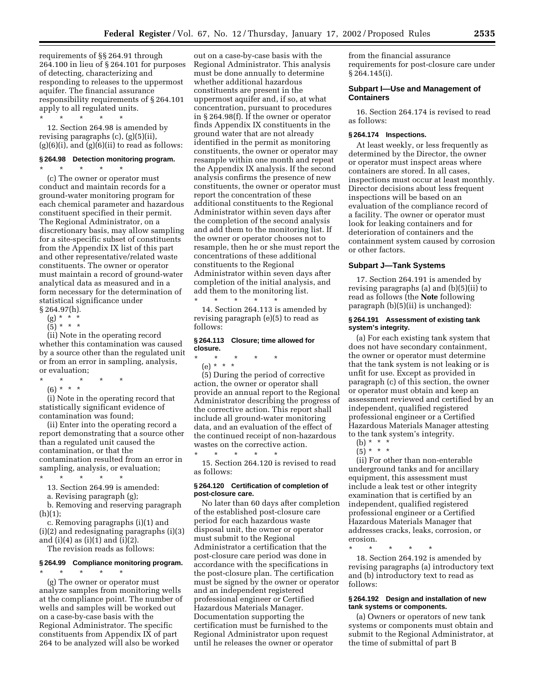requirements of §§ 264.91 through 264.100 in lieu of § 264.101 for purposes of detecting, characterizing and responding to releases to the uppermost aquifer. The financial assurance responsibility requirements of § 264.101 apply to all regulated units. \* \* \* \* \*

12. Section 264.98 is amended by revising paragraphs (c), (g)(5)(ii),  $(g)(6)(i)$ , and  $(g)(6)(ii)$  to read as follows:

#### **§ 264.98 Detection monitoring program.**

 $\star$   $\star$ 

(c) The owner or operator must conduct and maintain records for a ground-water monitoring program for each chemical parameter and hazardous constituent specified in their permit. The Regional Administrator, on a discretionary basis, may allow sampling for a site-specific subset of constituents from the Appendix IX list of this part and other representative/related waste constituents. The owner or operator must maintain a record of ground-water analytical data as measured and in a form necessary for the determination of statistical significance under § 264.97(h).

- $(g) * * * *$
- $(5) * * * *$
- 

(ii) Note in the operating record whether this contamination was caused by a source other than the regulated unit or from an error in sampling, analysis, or evaluation;

- $*$  \*
- (6) \* \* \*

(i) Note in the operating record that statistically significant evidence of contamination was found;

(ii) Enter into the operating record a report demonstrating that a source other than a regulated unit caused the contamination, or that the contamination resulted from an error in sampling, analysis, or evaluation; \* \* \* \* \*

- 
- 13. Section 264.99 is amended:
- a. Revising paragraph (g);

b. Removing and reserving paragraph  $(h)(1);$ 

c. Removing paragraphs (i)(1) and (i)(2) and redesignating paragraphs (i)(3) and (i)(4) as (i)(1) and (i)(2).

The revision reads as follows:

# **§ 264.99 Compliance monitoring program.**

\* \* \* \* \* (g) The owner or operator must analyze samples from monitoring wells at the compliance point. The number of wells and samples will be worked out on a case-by-case basis with the Regional Administrator. The specific constituents from Appendix IX of part 264 to be analyzed will also be worked

out on a case-by-case basis with the Regional Administrator. This analysis must be done annually to determine whether additional hazardous constituents are present in the uppermost aquifer and, if so, at what concentration, pursuant to procedures in § 264.98(f). If the owner or operator finds Appendix IX constituents in the ground water that are not already identified in the permit as monitoring constituents, the owner or operator may resample within one month and repeat the Appendix IX analysis. If the second analysis confirms the presence of new constituents, the owner or operator must report the concentration of these additional constituents to the Regional Administrator within seven days after the completion of the second analysis and add them to the monitoring list. If the owner or operator chooses not to resample, then he or she must report the concentrations of these additional constituents to the Regional Administrator within seven days after completion of the initial analysis, and add them to the monitoring list. \* \* \* \* \*

14. Section 264.113 is amended by revising paragraph (e)(5) to read as follows:

### **§ 264.113 Closure; time allowed for closure.**

\* \* \* \* \*

(e) \* \* \*

(5) During the period of corrective action, the owner or operator shall provide an annual report to the Regional Administrator describing the progress of the corrective action. This report shall include all ground-water monitoring data, and an evaluation of the effect of the continued receipt of non-hazardous wastes on the corrective action.

\* \* \* \* \* 15. Section 264.120 is revised to read as follows:

# **§ 264.120 Certification of completion of post-closure care.**

No later than 60 days after completion of the established post-closure care period for each hazardous waste disposal unit, the owner or operator must submit to the Regional Administrator a certification that the post-closure care period was done in accordance with the specifications in the post-closure plan. The certification must be signed by the owner or operator and an independent registered professional engineer or Certified Hazardous Materials Manager. Documentation supporting the certification must be furnished to the Regional Administrator upon request until he releases the owner or operator

from the financial assurance requirements for post-closure care under § 264.145(i).

#### **Subpart I—Use and Management of Containers**

16. Section 264.174 is revised to read as follows:

#### **§ 264.174 Inspections.**

At least weekly, or less frequently as determined by the Director, the owner or operator must inspect areas where containers are stored. In all cases, inspections must occur at least monthly. Director decisions about less frequent inspections will be based on an evaluation of the compliance record of a facility. The owner or operator must look for leaking containers and for deterioration of containers and the containment system caused by corrosion or other factors.

# **Subpart J—Tank Systems**

17. Section 264.191 is amended by revising paragraphs (a) and (b)(5)(ii) to read as follows (the **Note** following paragraph (b)(5)(ii) is unchanged):

#### **§ 264.191 Assessment of existing tank system's integrity.**

(a) For each existing tank system that does not have secondary containment, the owner or operator must determine that the tank system is not leaking or is unfit for use. Except as provided in paragraph (c) of this section, the owner or operator must obtain and keep an assessment reviewed and certified by an independent, qualified registered professional engineer or a Certified Hazardous Materials Manager attesting to the tank system's integrity.

- (b)  $* * * *$
- $(5)^{*}$  \* \*

(ii) For other than non-enterable underground tanks and for ancillary equipment, this assessment must include a leak test or other integrity examination that is certified by an independent, qualified registered professional engineer or a Certified Hazardous Materials Manager that addresses cracks, leaks, corrosion, or erosion.

\* \* \* \* \*

18. Section 264.192 is amended by revising paragraphs (a) introductory text and (b) introductory text to read as follows:

# **§ 264.192 Design and installation of new tank systems or components.**

(a) Owners or operators of new tank systems or components must obtain and submit to the Regional Administrator, at the time of submittal of part B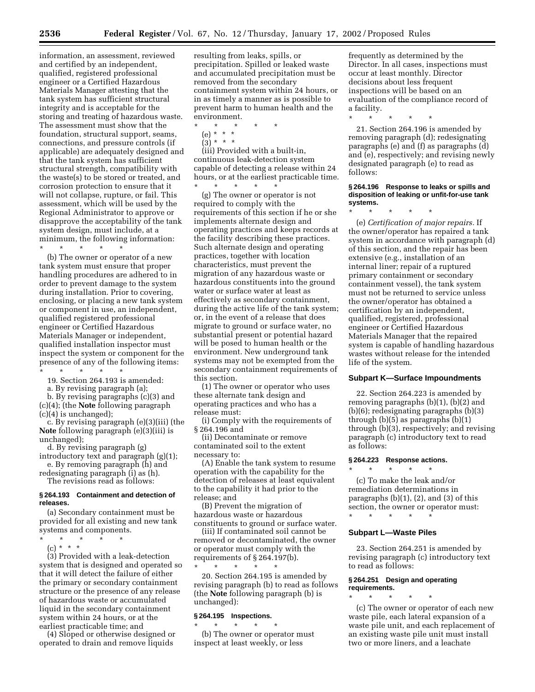information, an assessment, reviewed and certified by an independent, qualified, registered professional engineer or a Certified Hazardous Materials Manager attesting that the tank system has sufficient structural integrity and is acceptable for the storing and treating of hazardous waste. The assessment must show that the foundation, structural support, seams, connections, and pressure controls (if applicable) are adequately designed and that the tank system has sufficient structural strength, compatibility with the waste(s) to be stored or treated, and corrosion protection to ensure that it will not collapse, rupture, or fail. This assessment, which will be used by the Regional Administrator to approve or disapprove the acceptability of the tank system design, must include, at a minimum, the following information:  $\star$   $\qquad$   $\star$   $\qquad$   $\star$   $\qquad$   $\star$ 

(b) The owner or operator of a new tank system must ensure that proper handling procedures are adhered to in order to prevent damage to the system during installation. Prior to covering, enclosing, or placing a new tank system or component in use, an independent, qualified registered professional engineer or Certified Hazardous Materials Manager or independent, qualified installation inspector must inspect the system or component for the presence of any of the following items: \* \* \* \* \*

19. Section 264.193 is amended:

a. By revising paragraph (a); b. By revising paragraphs (c)(3) and (c)(4); (the **Note** following paragraph

(c)(4) is unchanged);

c. By revising paragraph (e)(3)(iii) (the **Note** following paragraph (e)(3)(iii) is unchanged);

- d. By revising paragraph (g) introductory text and paragraph (g)(1);
- e. By removing paragraph (h) and redesignating paragraph (i) as (h).

The revisions read as follows:

# **§ 264.193 Containment and detection of releases.**

(a) Secondary containment must be provided for all existing and new tank systems and components.

- \* \* \* \* \*
	- $(c) * * * *$

(3) Provided with a leak-detection system that is designed and operated so that it will detect the failure of either the primary or secondary containment structure or the presence of any release of hazardous waste or accumulated liquid in the secondary containment system within 24 hours, or at the earliest practicable time; and

(4) Sloped or otherwise designed or operated to drain and remove liquids

resulting from leaks, spills, or precipitation. Spilled or leaked waste and accumulated precipitation must be removed from the secondary containment system within 24 hours, or in as timely a manner as is possible to prevent harm to human health and the environment.

- \* \* \* \* \*
	- (e) \* \* \*  $(3) * * * *$

(iii) Provided with a built-in, continuous leak-detection system capable of detecting a release within 24 hours, or at the earliest practicable time. \* \* \* \* \*

(g) The owner or operator is not required to comply with the requirements of this section if he or she implements alternate design and operating practices and keeps records at the facility describing these practices. Such alternate design and operating practices, together with location characteristics, must prevent the migration of any hazardous waste or hazardous constituents into the ground water or surface water at least as effectively as secondary containment, during the active life of the tank system; or, in the event of a release that does migrate to ground or surface water, no substantial present or potential hazard will be posed to human health or the environment. New underground tank systems may not be exempted from the secondary containment requirements of this section.

(1) The owner or operator who uses these alternate tank design and operating practices and who has a release must:

(i) Comply with the requirements of § 264.196 and

(ii) Decontaminate or remove contaminated soil to the extent necessary to:

(A) Enable the tank system to resume operation with the capability for the detection of releases at least equivalent to the capability it had prior to the release; and

(B) Prevent the migration of hazardous waste or hazardous constituents to ground or surface water.

(iii) If contaminated soil cannot be removed or decontaminated, the owner or operator must comply with the requirements of § 264.197(b). \* \* \* \* \*

20. Section 264.195 is amended by revising paragraph (b) to read as follows (the **Note** following paragraph (b) is unchanged):

# **§ 264.195 Inspections.**

\* \* \* \* \* (b) The owner or operator must inspect at least weekly, or less

frequently as determined by the Director. In all cases, inspections must occur at least monthly. Director decisions about less frequent inspections will be based on an evaluation of the compliance record of a facility.

\* \* \* \* \*

21. Section 264.196 is amended by removing paragraph (d); redesignating paragraphs (e) and (f) as paragraphs (d) and (e), respectively; and revising newly designated paragraph (e) to read as follows:

#### **§ 264.196 Response to leaks or spills and disposition of leaking or unfit-for-use tank systems.**

\* \* \* \* \* (e) *Certification of major repairs.* If the owner/operator has repaired a tank system in accordance with paragraph (d) of this section, and the repair has been extensive (e.g., installation of an internal liner; repair of a ruptured primary containment or secondary containment vessel), the tank system must not be returned to service unless the owner/operator has obtained a certification by an independent, qualified, registered, professional engineer or Certified Hazardous Materials Manager that the repaired system is capable of handling hazardous wastes without release for the intended

#### **Subpart K—Surface Impoundments**

22. Section 264.223 is amended by removing paragraphs (b)(1), (b)(2) and (b)(6); redesignating paragraphs (b)(3) through (b)(5) as paragraphs (b)(1) through (b)(3), respectively; and revising paragraph (c) introductory text to read as follows:

# **§ 264.223 Response actions.**

\* \* \* \* \*

(c) To make the leak and/or remediation determinations in paragraphs  $(b)(1)$ ,  $(2)$ , and  $(3)$  of this section, the owner or operator must:

#### \* \* \* \* \*

life of the system.

# **Subpart L—Waste Piles**

23. Section 264.251 is amended by revising paragraph (c) introductory text to read as follows:

# **§ 264.251 Design and operating requirements.**

\* \* \* \* \* (c) The owner or operator of each new waste pile, each lateral expansion of a waste pile unit, and each replacement of an existing waste pile unit must install two or more liners, and a leachate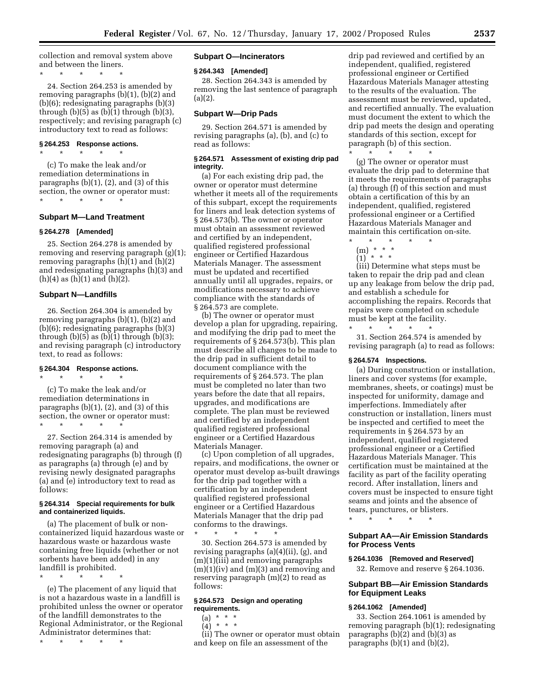collection and removal system above and between the liners.

\* \* \* \* \*

24. Section 264.253 is amended by removing paragraphs (b)(1), (b)(2) and (b)(6); redesignating paragraphs (b)(3) through  $(b)(5)$  as  $(b)(1)$  through  $(b)(3)$ , respectively; and revising paragraph (c) introductory text to read as follows:

# **§ 264.253 Response actions.** \* \* \* \* \*

(c) To make the leak and/or remediation determinations in paragraphs  $(b)(1)$ ,  $(2)$ , and  $(3)$  of this section, the owner or operator must: \* \* \* \* \*

# **Subpart M—Land Treatment**

#### **§ 264.278 [Amended]**

25. Section 264.278 is amended by removing and reserving paragraph (g)(1); removing paragraphs (h)(1) and (h)(2) and redesignating paragraphs (h)(3) and  $(h)(4)$  as  $(h)(1)$  and  $(h)(2)$ .

#### **Subpart N—Landfills**

26. Section 264.304 is amended by removing paragraphs (b)(1), (b)(2) and (b)(6); redesignating paragraphs (b)(3) through  $(b)(5)$  as  $(b)(1)$  through  $(b)(3)$ ; and revising paragraph (c) introductory text, to read as follows:

# **§ 264.304 Response actions.**

\* \* \* \* \*

(c) To make the leak and/or remediation determinations in paragraphs  $(b)(1)$ ,  $(2)$ , and  $(3)$  of this section, the owner or operator must: \* \* \* \* \*

27. Section 264.314 is amended by removing paragraph (a) and redesignating paragraphs (b) through (f) as paragraphs (a) through (e) and by revising newly designated paragraphs (a) and (e) introductory text to read as follows:

#### **§ 264.314 Special requirements for bulk and containerized liquids.**

(a) The placement of bulk or noncontainerized liquid hazardous waste or hazardous waste or hazardous waste containing free liquids (whether or not sorbents have been added) in any landfill is prohibited.

(e) The placement of any liquid that is not a hazardous waste in a landfill is prohibited unless the owner or operator of the landfill demonstrates to the Regional Administrator, or the Regional Administrator determines that:

\* \* \* \* \*

\* \* \* \* \*

# **Subpart O—Incinerators**

# **§ 264.343 [Amended]**

28. Section 264.343 is amended by removing the last sentence of paragraph (a)(2).

# **Subpart W—Drip Pads**

29. Section 264.571 is amended by revising paragraphs (a), (b), and (c) to read as follows:

#### **§ 264.571 Assessment of existing drip pad integrity.**

(a) For each existing drip pad, the owner or operator must determine whether it meets all of the requirements of this subpart, except the requirements for liners and leak detection systems of § 264.573(b). The owner or operator must obtain an assessment reviewed and certified by an independent, qualified registered professional engineer or Certified Hazardous Materials Manager. The assessment must be updated and recertified annually until all upgrades, repairs, or modifications necessary to achieve compliance with the standards of § 264.573 are complete.

(b) The owner or operator must develop a plan for upgrading, repairing, and modifying the drip pad to meet the requirements of § 264.573(b). This plan must describe all changes to be made to the drip pad in sufficient detail to document compliance with the requirements of § 264.573. The plan must be completed no later than two years before the date that all repairs, upgrades, and modifications are complete. The plan must be reviewed and certified by an independent qualified registered professional engineer or a Certified Hazardous Materials Manager.

(c) Upon completion of all upgrades, repairs, and modifications, the owner or operator must develop as-built drawings for the drip pad together with a certification by an independent qualified registered professional engineer or a Certified Hazardous Materials Manager that the drip pad conforms to the drawings. \* \* \* \* \*

30. Section 264.573 is amended by revising paragraphs (a)(4)(ii), (g), and (m)(1)(iii) and removing paragraphs  $(m)(1)(iv)$  and  $(m)(3)$  and removing and reserving paragraph (m)(2) to read as follows:

#### **§ 264.573 Design and operating requirements.**

 $(a) * * * *$ 

 $(4) * * * *$ 

(ii) The owner or operator must obtain and keep on file an assessment of the

drip pad reviewed and certified by an independent, qualified, registered professional engineer or Certified Hazardous Materials Manager attesting to the results of the evaluation. The assessment must be reviewed, updated, and recertified annually. The evaluation must document the extent to which the drip pad meets the design and operating standards of this section, except for paragraph (b) of this section.  $\star$   $\star$   $\star$ 

(g) The owner or operator must evaluate the drip pad to determine that it meets the requirements of paragraphs (a) through (f) of this section and must obtain a certification of this by an independent, qualified, registered professional engineer or a Certified Hazardous Materials Manager and maintain this certification on-site.

\* \* \* \* \* (m) \* \* \* (1) \* \* \*

(iii) Determine what steps must be taken to repair the drip pad and clean up any leakage from below the drip pad, and establish a schedule for accomplishing the repairs. Records that repairs were completed on schedule must be kept at the facility.

\* \* \* \* \* 31. Section 264.574 is amended by revising paragraph (a) to read as follows:

# **§ 264.574 Inspections.**

(a) During construction or installation, liners and cover systems (for example, membranes, sheets, or coatings) must be inspected for uniformity, damage and imperfections. Immediately after construction or installation, liners must be inspected and certified to meet the requirements in § 264.573 by an independent, qualified registered professional engineer or a Certified Hazardous Materials Manager. This certification must be maintained at the facility as part of the facility operating record. After installation, liners and covers must be inspected to ensure tight seams and joints and the absence of tears, punctures, or blisters.

\* \* \* \* \*

# **Subpart AA—Air Emission Standards for Process Vents**

#### **§ 264.1036 [Removed and Reserved]**

32. Remove and reserve § 264.1036.

# **Subpart BB—Air Emission Standards for Equipment Leaks**

# **§ 264.1062 [Amended]**

33. Section 264.1061 is amended by removing paragraph (b)(1); redesignating paragraphs (b)(2) and (b)(3) as paragraphs (b)(1) and (b)(2),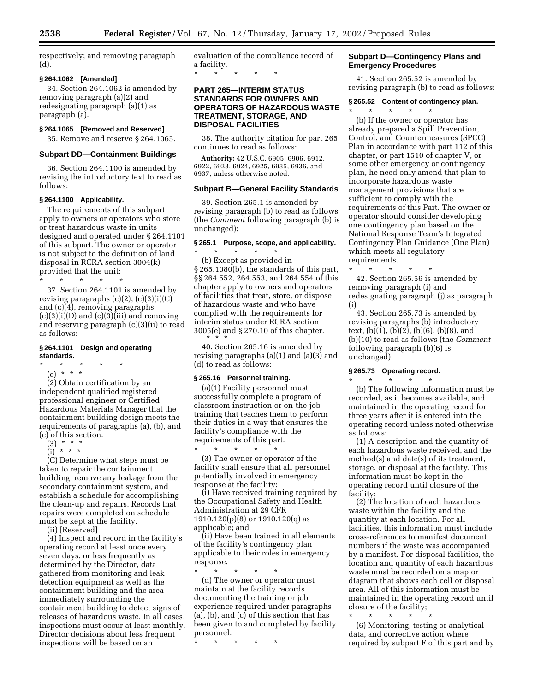respectively; and removing paragraph (d).

#### **§ 264.1062 [Amended]**

34. Section 264.1062 is amended by removing paragraph (a)(2) and redesignating paragraph (a)(1) as paragraph (a).

### **§ 264.1065 [Removed and Reserved]**

35. Remove and reserve § 264.1065.

#### **Subpart DD—Containment Buildings**

36. Section 264.1100 is amended by revising the introductory text to read as follows:

# **§ 264.1100 Applicability.**

The requirements of this subpart apply to owners or operators who store or treat hazardous waste in units designed and operated under § 264.1101 of this subpart. The owner or operator is not subject to the definition of land disposal in RCRA section 3004(k) provided that the unit:

\* \* \* \* \*

37. Section 264.1101 is amended by revising paragraphs (c)(2), (c)(3)(i)(C) and (c)(4), removing paragraphs  $(c)(3)(i)(D)$  and  $(c)(3)(iii)$  and removing and reserving paragraph (c)(3)(ii) to read as follows:

# **§ 264.1101 Design and operating standards.**

\* \* \* \* \*

(c) \* \* \* (2) Obtain certification by an independent qualified registered professional engineer or Certified Hazardous Materials Manager that the containment building design meets the

- requirements of paragraphs (a), (b), and (c) of this section.
	- $(3) * * * *$
	- $(i)$  \* \* \*

(C) Determine what steps must be taken to repair the containment building, remove any leakage from the secondary containment system, and establish a schedule for accomplishing the clean-up and repairs. Records that repairs were completed on schedule must be kept at the facility.

(ii) [Reserved]

(4) Inspect and record in the facility's operating record at least once every seven days, or less frequently as determined by the Director, data gathered from monitoring and leak detection equipment as well as the containment building and the area immediately surrounding the containment building to detect signs of releases of hazardous waste. In all cases, inspections must occur at least monthly. Director decisions about less frequent inspections will be based on an

evaluation of the compliance record of a facility. \* \* \* \* \*

# **PART 265—INTERIM STATUS STANDARDS FOR OWNERS AND OPERATORS OF HAZARDOUS WASTE TREATMENT, STORAGE, AND DISPOSAL FACILITIES**

38. The authority citation for part 265 continues to read as follows:

**Authority:** 42 U.S.C. 6905, 6906, 6912, 6922, 6923, 6924, 6925, 6935, 6936, and 6937, unless otherwise noted.

#### **Subpart B—General Facility Standards**

39. Section 265.1 is amended by revising paragraph (b) to read as follows (the *Comment* following paragraph (b) is unchanged):

#### **§ 265.1 Purpose, scope, and applicability.**

\* \* \* \* \* (b) Except as provided in § 265.1080(b), the standards of this part, §§ 264.552, 264.553, and 264.554 of this chapter apply to owners and operators of facilities that treat, store, or dispose of hazardous waste and who have complied with the requirements for interim status under RCRA section 3005(e) and § 270.10 of this chapter. \*\*\*

40. Section 265.16 is amended by revising paragraphs (a)(1) and (a)(3) and (d) to read as follows:

# **§ 265.16 Personnel training.**

(a)(1) Facility personnel must successfully complete a program of classroom instruction or on-the-job training that teaches them to perform their duties in a way that ensures the facility's compliance with the requirements of this part. \* \* \* \* \*

(3) The owner or operator of the facility shall ensure that all personnel potentially involved in emergency response at the facility:

(i) Have received training required by the Occupational Safety and Health Administration at 29 CFR  $1910.120(p)(8)$  or  $1910.120(q)$  as applicable; and

(ii) Have been trained in all elements of the facility's contingency plan applicable to their roles in emergency response.

\* \* \* \* \* (d) The owner or operator must maintain at the facility records documenting the training or job experience required under paragraphs (a), (b), and (c) of this section that has been given to and completed by facility personnel.

\* \* \* \* \*

# **Subpart D—Contingency Plans and Emergency Procedures**

41. Section 265.52 is amended by revising paragraph (b) to read as follows:

#### **§ 265.52 Content of contingency plan.**

\* \* \* \* \* (b) If the owner or operator has already prepared a Spill Prevention, Control, and Countermeasures (SPCC) Plan in accordance with part 112 of this chapter, or part 1510 of chapter V, or some other emergency or contingency plan, he need only amend that plan to incorporate hazardous waste management provisions that are sufficient to comply with the requirements of this Part. The owner or operator should consider developing one contingency plan based on the National Response Team's Integrated Contingency Plan Guidance (One Plan) which meets all regulatory requirements.

\* \* \* \* \* 42. Section 265.56 is amended by removing paragraph (i) and redesignating paragraph (j) as paragraph (i)

43. Section 265.73 is amended by revising paragraphs (b) introductory text,  $(b)(1)$ ,  $(b)(2)$ ,  $(b)(6)$ ,  $(b)(8)$ , and (b)(10) to read as follows (the *Comment* following paragraph (b)(6) is unchanged):

#### **§ 265.73 Operating record.** \* \* \* \* \*

(b) The following information must be recorded, as it becomes available, and maintained in the operating record for three years after it is entered into the operating record unless noted otherwise as follows:

(1) A description and the quantity of each hazardous waste received, and the method(s) and date(s) of its treatment, storage, or disposal at the facility. This information must be kept in the operating record until closure of the facility;

(2) The location of each hazardous waste within the facility and the quantity at each location. For all facilities, this information must include cross-references to manifest document numbers if the waste was accompanied by a manifest. For disposal facilities, the location and quantity of each hazardous waste must be recorded on a map or diagram that shows each cell or disposal area. All of this information must be maintained in the operating record until closure of the facility;

\* \* \* \* \* (6) Monitoring, testing or analytical data, and corrective action where required by subpart F of this part and by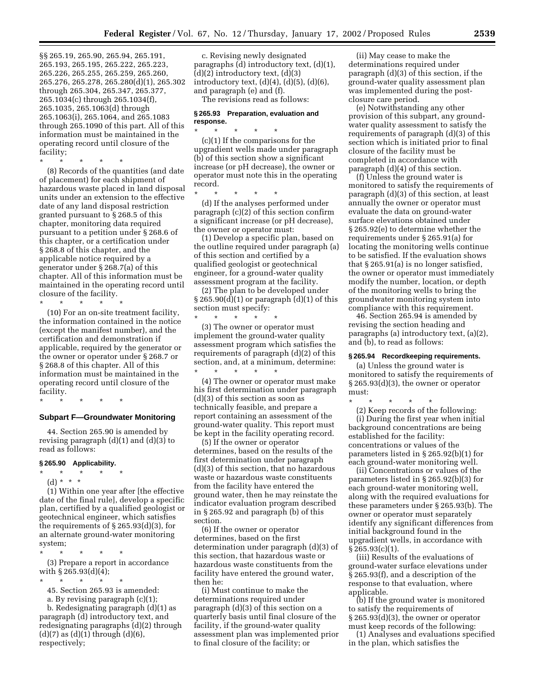§§ 265.19, 265.90, 265.94, 265.191, 265.193, 265.195, 265.222, 265.223, 265.226, 265.255, 265.259, 265.260, 265.276, 265.278, 265.280(d)(1), 265.302 through 265.304, 265.347, 265.377, 265.1034(c) through 265.1034(f), 265.1035, 265.1063(d) through 265.1063(i), 265.1064, and 265.1083 through 265.1090 of this part. All of this information must be maintained in the operating record until closure of the facility;

\* \* \* \* \*

(8) Records of the quantities (and date of placement) for each shipment of hazardous waste placed in land disposal units under an extension to the effective date of any land disposal restriction granted pursuant to § 268.5 of this chapter, monitoring data required pursuant to a petition under § 268.6 of this chapter, or a certification under § 268.8 of this chapter, and the applicable notice required by a generator under § 268.7(a) of this chapter. All of this information must be maintained in the operating record until closure of the facility. \* \* \* \* \*

(10) For an on-site treatment facility, the information contained in the notice (except the manifest number), and the certification and demonstration if applicable, required by the generator or the owner or operator under § 268.7 or § 268.8 of this chapter. All of this information must be maintained in the operating record until closure of the facility.

# \* \* \* \* \*

# **Subpart F—Groundwater Monitoring**

44. Section 265.90 is amended by revising paragraph  $(d)(1)$  and  $(d)(3)$  to read as follows:

#### **§ 265.90 Applicability.**

- \* \* \* \* \*
- (d) \* \* \*

(1) Within one year after [the effective date of the final rule], develop a specific plan, certified by a qualified geologist or geotechnical engineer, which satisfies the requirements of § 265.93(d)(3), for an alternate ground-water monitoring system;

\* \* \* \* \*

(3) Prepare a report in accordance with § 265.93(d)(4);

\* \* \* \* \*

45. Section 265.93 is amended: a. By revising paragraph (c)(1);

b. Redesignating paragraph (d)(1) as paragraph (d) introductory text, and redesignating paragraphs (d)(2) through  $(d)(7)$  as  $(d)(1)$  through  $(d)(6)$ , respectively;

c. Revising newly designated paragraphs (d) introductory text, (d)(1),  $(d)(2)$  introductory text,  $(d)(3)$ introductory text,  $(d)(4)$ ,  $(d)(5)$ ,  $(d)(6)$ , and paragraph (e) and (f).

The revisions read as follows:

# **§ 265.93 Preparation, evaluation and response.**

\* \* \* \* \* (c)(1) If the comparisons for the upgradient wells made under paragraph (b) of this section show a significant increase (or pH decrease), the owner or operator must note this in the operating record.

\* \* \* \* \* (d) If the analyses performed under paragraph (c)(2) of this section confirm a significant increase (or pH decrease), the owner or operator must:

(1) Develop a specific plan, based on the outline required under paragraph (a) of this section and certified by a qualified geologist or geotechnical engineer, for a ground-water quality assessment program at the facility.

(2) The plan to be developed under  $\S 265.90(d)(1)$  or paragraph  $(d)(1)$  of this section must specify:  $\star$   $\qquad$   $\star$   $\qquad$   $\star$ 

(3) The owner or operator must implement the ground-water quality assessment program which satisfies the requirements of paragraph (d)(2) of this section, and, at a minimum, determine: \* \* \* \* \*

(4) The owner or operator must make his first determination under paragraph (d)(3) of this section as soon as technically feasible, and prepare a report containing an assessment of the ground-water quality. This report must be kept in the facility operating record.

(5) If the owner or operator determines, based on the results of the first determination under paragraph (d)(3) of this section, that no hazardous waste or hazardous waste constituents from the facility have entered the ground water, then he may reinstate the indicator evaluation program described in § 265.92 and paragraph (b) of this section.

(6) If the owner or operator determines, based on the first determination under paragraph (d)(3) of this section, that hazardous waste or hazardous waste constituents from the facility have entered the ground water, then he:

(i) Must continue to make the determinations required under paragraph (d)(3) of this section on a quarterly basis until final closure of the facility, if the ground-water quality assessment plan was implemented prior to final closure of the facility; or

(ii) May cease to make the determinations required under paragraph (d)(3) of this section, if the ground-water quality assessment plan was implemented during the postclosure care period.

(e) Notwithstanding any other provision of this subpart, any groundwater quality assessment to satisfy the requirements of paragraph (d)(3) of this section which is initiated prior to final closure of the facility must be completed in accordance with paragraph (d)(4) of this section.

(f) Unless the ground water is monitored to satisfy the requirements of paragraph (d)(3) of this section, at least annually the owner or operator must evaluate the data on ground-water surface elevations obtained under § 265.92(e) to determine whether the requirements under § 265.91(a) for locating the monitoring wells continue to be satisfied. If the evaluation shows that § 265.91(a) is no longer satisfied, the owner or operator must immediately modify the number, location, or depth of the monitoring wells to bring the groundwater monitoring system into compliance with this requirement.

46. Section 265.94 is amended by revising the section heading and paragraphs (a) introductory text, (a)(2), and (b), to read as follows:

#### **§ 265.94 Recordkeeping requirements.**

(a) Unless the ground water is monitored to satisfy the requirements of § 265.93(d)(3), the owner or operator must:

\* \* \* \* \* (2) Keep records of the following: (i) During the first year when initial background concentrations are being established for the facility: concentrations or values of the parameters listed in § 265.92(b)(1) for each ground-water monitoring well.

(ii) Concentrations or values of the parameters listed in § 265.92(b)(3) for each ground-water monitoring well, along with the required evaluations for these parameters under § 265.93(b). The owner or operator must separately identify any significant differences from initial background found in the upgradient wells, in accordance with § 265.93(c)(1).

(iii) Results of the evaluations of ground-water surface elevations under § 265.93(f), and a description of the response to that evaluation, where applicable.

(b) If the ground water is monitored to satisfy the requirements of § 265.93(d)(3), the owner or operator must keep records of the following:

(1) Analyses and evaluations specified in the plan, which satisfies the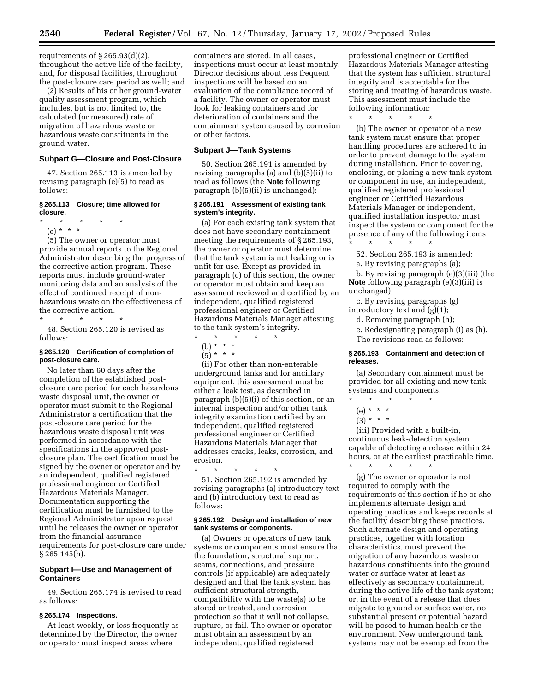requirements of  $\S 265.93(d)(2)$ , throughout the active life of the facility, and, for disposal facilities, throughout the post-closure care period as well; and

(2) Results of his or her ground-water quality assessment program, which includes, but is not limited to, the calculated (or measured) rate of migration of hazardous waste or hazardous waste constituents in the ground water.

# **Subpart G—Closure and Post-Closure**

47. Section 265.113 is amended by revising paragraph (e)(5) to read as follows:

# **§ 265.113 Closure; time allowed for closure.**

- \* \* \* \* \*
	- (e) \* \* \*

(5) The owner or operator must provide annual reports to the Regional Administrator describing the progress of the corrective action program. These reports must include ground-water monitoring data and an analysis of the effect of continued receipt of nonhazardous waste on the effectiveness of the corrective action.

\* \* \* \* \* 48. Section 265.120 is revised as follows:

#### **§ 265.120 Certification of completion of post-closure care.**

No later than 60 days after the completion of the established postclosure care period for each hazardous waste disposal unit, the owner or operator must submit to the Regional Administrator a certification that the post-closure care period for the hazardous waste disposal unit was performed in accordance with the specifications in the approved postclosure plan. The certification must be signed by the owner or operator and by an independent, qualified registered professional engineer or Certified Hazardous Materials Manager. Documentation supporting the certification must be furnished to the Regional Administrator upon request until he releases the owner or operator from the financial assurance requirements for post-closure care under  $§ 265.145(h).$ 

# **Subpart I—Use and Management of Containers**

49. Section 265.174 is revised to read as follows:

# **§ 265.174 Inspections.**

At least weekly, or less frequently as determined by the Director, the owner or operator must inspect areas where

containers are stored. In all cases, inspections must occur at least monthly. Director decisions about less frequent inspections will be based on an evaluation of the compliance record of a facility. The owner or operator must look for leaking containers and for deterioration of containers and the containment system caused by corrosion or other factors.

#### **Subpart J—Tank Systems**

50. Section 265.191 is amended by revising paragraphs (a) and (b)(5)(ii) to read as follows (the **Note** following paragraph (b)(5)(ii) is unchanged):

#### **§ 265.191 Assessment of existing tank system's integrity.**

(a) For each existing tank system that does not have secondary containment meeting the requirements of § 265.193, the owner or operator must determine that the tank system is not leaking or is unfit for use. Except as provided in paragraph (c) of this section, the owner or operator must obtain and keep an assessment reviewed and certified by an independent, qualified registered professional engineer or Certified Hazardous Materials Manager attesting to the tank system's integrity.

- $\star$   $\qquad$   $\star$   $\qquad$   $\star$ (b) \* \* \*
- 
- $(5) * * * *$

(ii) For other than non-enterable underground tanks and for ancillary equipment, this assessment must be either a leak test, as described in paragraph (b)(5)(i) of this section, or an internal inspection and/or other tank integrity examination certified by an independent, qualified registered professional engineer or Certified Hazardous Materials Manager that addresses cracks, leaks, corrosion, and erosion.

\* \* \* \* \* 51. Section 265.192 is amended by revising paragraphs (a) introductory text and (b) introductory text to read as follows:

#### **§ 265.192 Design and installation of new tank systems or components.**

(a) Owners or operators of new tank systems or components must ensure that the foundation, structural support, seams, connections, and pressure controls (if applicable) are adequately designed and that the tank system has sufficient structural strength, compatibility with the waste(s) to be stored or treated, and corrosion protection so that it will not collapse, rupture, or fail. The owner or operator must obtain an assessment by an independent, qualified registered

professional engineer or Certified Hazardous Materials Manager attesting that the system has sufficient structural integrity and is acceptable for the storing and treating of hazardous waste. This assessment must include the following information:

\* \* \* \* \*

(b) The owner or operator of a new tank system must ensure that proper handling procedures are adhered to in order to prevent damage to the system during installation. Prior to covering, enclosing, or placing a new tank system or component in use, an independent, qualified registered professional engineer or Certified Hazardous Materials Manager or independent, qualified installation inspector must inspect the system or component for the presence of any of the following items: \* \* \* \* \*

52. Section 265.193 is amended:

a. By revising paragraphs (a);

b. By revising paragraph (e)(3)(iii) (the **Note** following paragraph (e)(3)(iii) is unchanged);

c. By revising paragraphs (g) introductory text and (g)(1);

d. Removing paragraph (h);

e. Redesignating paragraph (i) as (h). The revisions read as follows:

# **§ 265.193 Containment and detection of releases.**

(a) Secondary containment must be provided for all existing and new tank systems and components.

- \* \* \* \* \*
- (e) \* \* \*
- $(3) * * * *$

(iii) Provided with a built-in, continuous leak-detection system capable of detecting a release within 24 hours, or at the earliest practicable time.  $\star$   $\star$   $\star$ 

(g) The owner or operator is not required to comply with the requirements of this section if he or she implements alternate design and operating practices and keeps records at the facility describing these practices. Such alternate design and operating practices, together with location characteristics, must prevent the migration of any hazardous waste or hazardous constituents into the ground water or surface water at least as effectively as secondary containment, during the active life of the tank system; or, in the event of a release that does migrate to ground or surface water, no substantial present or potential hazard will be posed to human health or the environment. New underground tank systems may not be exempted from the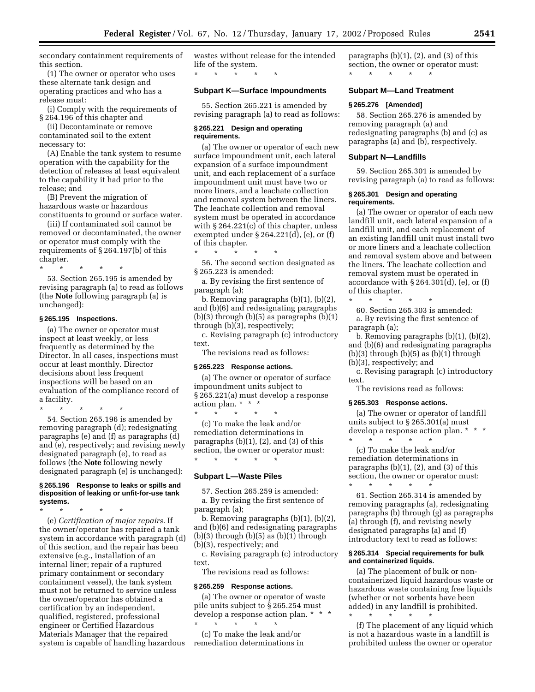secondary containment requirements of this section.

(1) The owner or operator who uses these alternate tank design and operating practices and who has a release must:

(i) Comply with the requirements of § 264.196 of this chapter and

(ii) Decontaminate or remove contaminated soil to the extent necessary to:

(A) Enable the tank system to resume operation with the capability for the detection of releases at least equivalent to the capability it had prior to the release; and

(B) Prevent the migration of hazardous waste or hazardous constituents to ground or surface water.

(iii) If contaminated soil cannot be removed or decontaminated, the owner or operator must comply with the requirements of § 264.197(b) of this chapter.

\* \* \* \* \*

53. Section 265.195 is amended by revising paragraph (a) to read as follows (the **Note** following paragraph (a) is unchanged):

### **§ 265.195 Inspections.**

(a) The owner or operator must inspect at least weekly, or less frequently as determined by the Director. In all cases, inspections must occur at least monthly. Director decisions about less frequent inspections will be based on an evaluation of the compliance record of a facility.

\* \* \* \* \*

54. Section 265.196 is amended by removing paragraph (d); redesignating paragraphs (e) and (f) as paragraphs (d) and (e), respectively; and revising newly designated paragraph (e), to read as follows (the **Note** following newly designated paragraph (e) is unchanged):

#### **§ 265.196 Response to leaks or spills and disposition of leaking or unfit-for-use tank systems.**

\* \* \* \* \*

(e) *Certification of major repairs.* If the owner/operator has repaired a tank system in accordance with paragraph (d) of this section, and the repair has been extensive (e.g., installation of an internal liner; repair of a ruptured primary containment or secondary containment vessel), the tank system must not be returned to service unless the owner/operator has obtained a certification by an independent, qualified, registered, professional engineer or Certified Hazardous Materials Manager that the repaired system is capable of handling hazardous wastes without release for the intended life of the system. \* \* \* \* \*

# **Subpart K—Surface Impoundments**

55. Section 265.221 is amended by revising paragraph (a) to read as follows:

#### **§ 265.221 Design and operating requirements.**

(a) The owner or operator of each new surface impoundment unit, each lateral expansion of a surface impoundment unit, and each replacement of a surface impoundment unit must have two or more liners, and a leachate collection and removal system between the liners. The leachate collection and removal system must be operated in accordance with § 264.221(c) of this chapter, unless exempted under § 264.221(d), (e), or (f) of this chapter.

\* \* \* \* \* 56. The second section designated as § 265.223 is amended:

a. By revising the first sentence of paragraph (a);

b. Removing paragraphs (b)(1), (b)(2), and (b)(6) and redesignating paragraphs  $(b)(3)$  through  $(b)(5)$  as paragraphs  $(b)(1)$ through (b)(3), respectively;

c. Revising paragraph (c) introductory text.

The revisions read as follows:

#### **§ 265.223 Response actions.**

(a) The owner or operator of surface impoundment units subject to § 265.221(a) must develop a response action plan. \* \* \*

\* \* \* \* \* (c) To make the leak and/or remediation determinations in paragraphs (b)(1), (2), and (3) of this section, the owner or operator must: \* \* \* \* \*

#### **Subpart L—Waste Piles**

57. Section 265.259 is amended: a. By revising the first sentence of paragraph (a);

b. Removing paragraphs (b)(1), (b)(2), and (b)(6) and redesignating paragraphs  $(b)(3)$  through  $(b)(5)$  as  $(b)(1)$  through (b)(3), respectively; and

c. Revising paragraph (c) introductory text.

The revisions read as follows:

#### **§ 265.259 Response actions.**

(a) The owner or operator of waste pile units subject to § 265.254 must develop a response action plan. \* \* \* \* \* \* \* \*

(c) To make the leak and/or remediation determinations in paragraphs  $(b)(1)$ ,  $(2)$ , and  $(3)$  of this section, the owner or operator must: \* \* \* \* \*

#### **Subpart M—Land Treatment**

#### **§ 265.276 [Amended]**

58. Section 265.276 is amended by removing paragraph (a) and redesignating paragraphs (b) and (c) as paragraphs (a) and (b), respectively.

# **Subpart N—Landfills**

59. Section 265.301 is amended by revising paragraph (a) to read as follows:

#### **§ 265.301 Design and operating requirements.**

(a) The owner or operator of each new landfill unit, each lateral expansion of a landfill unit, and each replacement of an existing landfill unit must install two or more liners and a leachate collection and removal system above and between the liners. The leachate collection and removal system must be operated in accordance with  $\S 264.301(d)$ , (e), or (f) of this chapter.

\* \* \* \* \* 60. Section 265.303 is amended:

a. By revising the first sentence of paragraph (a);

b. Removing paragraphs (b)(1), (b)(2), and (b)(6) and redesignating paragraphs  $(b)(3)$  through  $(b)(5)$  as  $(b)(1)$  through (b)(3), respectively; and

c. Revising paragraph (c) introductory text.

The revisions read as follows:

#### **§ 265.303 Response actions.**

(a) The owner or operator of landfill units subject to § 265.301(a) must develop a response action plan. \* \* \*

\* \* \* \* \* (c) To make the leak and/or remediation determinations in paragraphs  $(b)(1)$ ,  $(2)$ , and  $(3)$  of this section, the owner or operator must: \* \* \* \* \*

61. Section 265.314 is amended by removing paragraphs (a), redesignating paragraphs (b) through (g) as paragraphs (a) through (f), and revising newly designated paragraphs (a) and (f) introductory text to read as follows:

# **§ 265.314 Special requirements for bulk and containerized liquids.**

(a) The placement of bulk or noncontainerized liquid hazardous waste or hazardous waste containing free liquids (whether or not sorbents have been added) in any landfill is prohibited.

\* \* \* \* \* (f) The placement of any liquid which is not a hazardous waste in a landfill is prohibited unless the owner or operator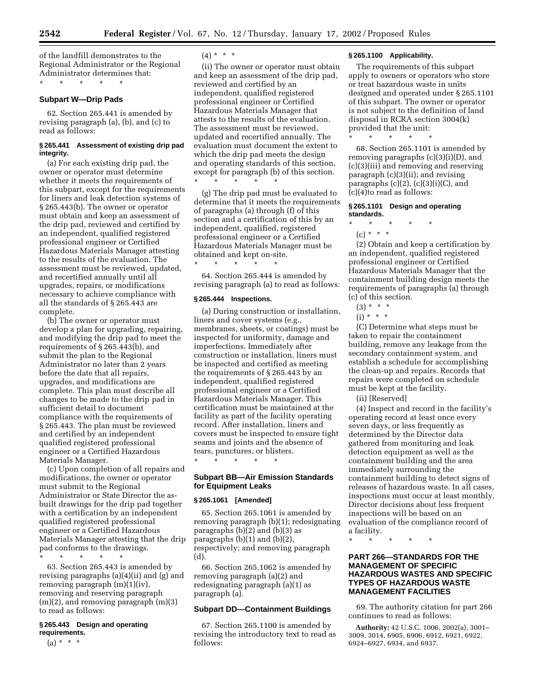of the landfill demonstrates to the Regional Administrator or the Regional Administrator determines that: \* \* \* \* \*

# **Subpart W—Drip Pads**

62. Section 265.441 is amended by revising paragraph (a), (b), and (c) to read as follows:

# **§ 265.441 Assessment of existing drip pad integrity.**

(a) For each existing drip pad, the owner or operator must determine whether it meets the requirements of this subpart, except for the requirements for liners and leak detection systems of § 265.443(b). The owner or operator must obtain and keep an assessment of the drip pad, reviewed and certified by an independent, qualified registered professional engineer or Certified Hazardous Materials Manager attesting to the results of the evaluation. The assessment must be reviewed, updated, and recertified annually until all upgrades, repairs, or modifications necessary to achieve compliance with all the standards of § 265.443 are complete.

(b) The owner or operator must develop a plan for upgrading, repairing, and modifying the drip pad to meet the requirements of § 265.443(b), and submit the plan to the Regional Administrator no later than 2 years before the date that all repairs, upgrades, and modifications are complete. This plan must describe all changes to be made to the drip pad in sufficient detail to document compliance with the requirements of § 265.443. The plan must be reviewed and certified by an independent qualified registered professional engineer or a Certified Hazardous Materials Manager.

(c) Upon completion of all repairs and modifications, the owner or operator must submit to the Regional Administrator or State Director the asbuilt drawings for the drip pad together with a certification by an independent qualified registered professional engineer or a Certified Hazardous Materials Manager attesting that the drip pad conforms to the drawings.

\* \* \* \* \*

63. Section 265.443 is amended by revising paragraphs (a)(4)(ii) and (g) and removing paragraph (m)(1)(iv), removing and reserving paragraph  $(m)(2)$ , and removing paragraph  $(m)(3)$ to read as follows:

# **§ 265.443 Design and operating requirements.**

 $(a) * * * *$ 

 $(4) * * * *$ 

(ii) The owner or operator must obtain and keep an assessment of the drip pad, reviewed and certified by an independent, qualified registered professional engineer or Certified Hazardous Materials Manager that attests to the results of the evaluation. The assessment must be reviewed, updated and recertified annually. The evaluation must document the extent to which the drip pad meets the design and operating standards of this section, except for paragraph (b) of this section. \* \* \* \* \*

(g) The drip pad must be evaluated to determine that it meets the requirements of paragraphs (a) through (f) of this section and a certification of this by an independent, qualified, registered professional engineer or a Certified Hazardous Materials Manager must be % obtained and kept on-site.

64. Section 265.444 is amended by revising paragraph (a) to read as follows:

#### **§ 265.444 Inspections.**

\* \* \* \* \*

(a) During construction or installation, liners and cover systems (e.g., membranes, sheets, or coatings) must be inspected for uniformity, damage and imperfections. Immediately after construction or installation, liners must be inspected and certified as meeting the requirements of § 265.443 by an independent, qualified registered professional engineer or a Certified Hazardous Materials Manager. This certification must be maintained at the facility as part of the facility operating record. After installation, liners and covers must be inspected to ensure tight seams and joints and the absence of tears, punctures, or blisters. \* \* \* \* \*

# **Subpart BB—Air Emission Standards for Equipment Leaks**

#### **§ 265.1061 [Amended]**

65. Section 265.1061 is amended by removing paragraph (b)(1); redesignating paragraphs (b)(2) and (b)(3) as paragraphs (b)(1) and (b)(2), respectively; and removing paragraph (d).

66. Section 265.1062 is amended by removing paragraph (a)(2) and redesignating paragraph (a)(1) as paragraph (a).

# **Subpart DD—Containment Buildings**

67. Section 265.1100 is amended by revising the introductory text to read as follows:

# **§ 265.1100 Applicability.**

The requirements of this subpart apply to owners or operators who store or treat hazardous waste in units designed and operated under § 265.1101 of this subpart. The owner or operator is not subject to the definition of land disposal in RCRA section 3004(k) provided that the unit:

\* \* \* \* \*

68. Section 265.1101 is amended by removing paragraphs (c)(3)(i)(D), and (c)(3)(iii) and removing and reserving paragraph (c)(3)(ii); and revising paragraphs (c)(2), (c)(3)(i)(C), and (c)(4)to read as follows:

### **§ 265.1101 Design and operating standards.**

\* \* \* \* \* (c) \* \* \*

(2) Obtain and keep a certification by an independent, qualified registered professional engineer or Certified Hazardous Materials Manager that the containment building design meets the requirements of paragraphs (a) through (c) of this section.

- $(3) * * * *$
- $(i) * * * *$

(C) Determine what steps must be taken to repair the containment building, remove any leakage from the secondary containment system, and establish a schedule for accomplishing the clean-up and repairs. Records that repairs were completed on schedule must be kept at the facility.

(ii) [Reserved]

(4) Inspect and record in the facility's operating record at least once every seven days, or less frequently as determined by the Director data gathered from monitoring and leak detection equipment as well as the containment building and the area immediately surrounding the containment building to detect signs of releases of hazardous waste. In all cases, inspections must occur at least monthly. Director decisions about less frequent inspections will be based on an evaluation of the compliance record of a facility.

\* \* \* \* \*

# **PART 266—STANDARDS FOR THE MANAGEMENT OF SPECIFIC HAZARDOUS WASTES AND SPECIFIC TYPES OF HAZARDOUS WASTE MANAGEMENT FACILITIES**

69. The authority citation for part 266 continues to read as follows:

**Authority:** 42 U.S.C. 1006, 2002(a), 3001– 3009, 3014, 6905, 6906, 6912, 6921, 6922, 6924–6927, 6934, and 6937.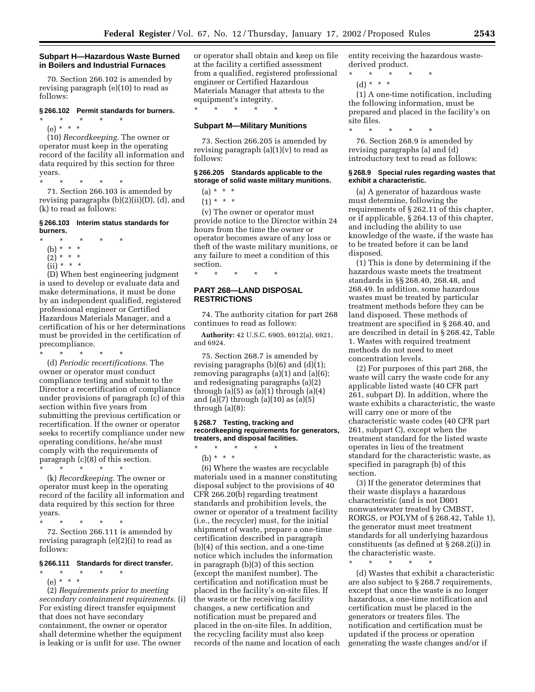### **Subpart H—Hazardous Waste Burned in Boilers and Industrial Furnaces**

70. Section 266.102 is amended by revising paragraph (e)(10) to read as follows:

#### **§ 266.102 Permit standards for burners.**

\* \* \* \* \* (e) \* \* \*

(10) *Recordkeeping.* The owner or operator must keep in the operating record of the facility all information and data required by this section for three years.

\* \* \* \* \* 71. Section 266.103 is amended by revising paragraphs (b)(2)(ii)(D), (d), and (k) to read as follows:

#### **§ 266.103 Interim status standards for burners.**

- \* \* \* \* \*
- (b) \* \* \*
- $(2)^* * * *$
- $(iii) * * * *$

(D) When best engineering judgment is used to develop or evaluate data and make determinations, it must be done by an independent qualified, registered professional engineer or Certified Hazardous Materials Manager, and a certification of his or her determinations must be provided in the certification of precompliance.

\* \* \* \* \* (d) *Periodic recertifications.* The owner or operator must conduct compliance testing and submit to the Director a recertification of compliance under provisions of paragraph (c) of this section within five years from submitting the previous certification or recertification. If the owner or operator seeks to recertify compliance under new operating conditions, he/she must comply with the requirements of paragraph (c)(8) of this section. \* \* \* \* \*

(k) *Recordkeeping.* The owner or operator must keep in the operating record of the facility all information and data required by this section for three years.

\* \* \* \* \* 72. Section 266.111 is amended by revising paragraph (e)(2)(i) to read as follows:

# **§ 266.111 Standards for direct transfer.**

\* \* \* \* \*

(e) \* \* \* (2) *Requirements prior to meeting secondary containment requirements.* (i) For existing direct transfer equipment that does not have secondary containment, the owner or operator shall determine whether the equipment is leaking or is unfit for use. The owner

or operator shall obtain and keep on file at the facility a certified assessment from a qualified, registered professional engineer or Certified Hazardous Materials Manager that attests to the equipment's integrity. \* \* \* \* \*

# **Subpart M—Military Munitions**

73. Section 266.205 is amended by revising paragraph  $(a)(1)(v)$  to read as follows:

# **§ 266.205 Standards applicable to the storage of solid waste military munitions.**

 $(a) * * * *$ 

 $(1) * * * *$ 

(v) The owner or operator must provide notice to the Director within 24 hours from the time the owner or operator becomes aware of any loss or theft of the waste military munitions, or any failure to meet a condition of this section.

**PART 268—LAND DISPOSAL RESTRICTIONS**

\* \* \* \* \*

74. The authority citation for part 268 continues to read as follows:

**Authority:** 42 U.S.C. 6905, 6912(a), 6921, and 6924.

75. Section 268.7 is amended by revising paragraphs (b)(6) and (d)(1); removing paragraphs  $(a)(1)$  and  $(a)(6)$ ; and redesignating paragraphs (a)(2) through  $(a)(5)$  as  $(a)(1)$  through  $(a)(4)$ and  $(a)(7)$  through  $(a)(10)$  as  $(a)(5)$ through (a)(8):

# **§ 268.7 Testing, tracking and recordkeeping requirements for generators, treaters, and disposal facilities.** \* \* \* \* \*

(b)  $* * * *$ 

(6) Where the wastes are recyclable materials used in a manner constituting disposal subject to the provisions of 40 CFR 266.20(b) regarding treatment standards and prohibition levels, the owner or operator of a treatment facility (i.e., the recycler) must, for the initial shipment of waste, prepare a one-time certification described in paragraph (b)(4) of this section, and a one-time notice which includes the information in paragraph (b)(3) of this section (except the manifest number). The certification and notification must be placed in the facility's on-site files. If the waste or the receiving facility changes, a new certification and notification must be prepared and placed in the on-site files. In addition, the recycling facility must also keep records of the name and location of each entity receiving the hazardous wastederived product.

- \* \* \* \* \*
- (d) \* \* \*

(1) A one-time notification, including the following information, must be prepared and placed in the facility's on site files.

\* \* \* \* \* 76. Section 268.9 is amended by revising paragraphs (a) and (d) introductory text to read as follows:

#### **§ 268.9 Special rules regarding wastes that exhibit a characteristic.**

(a) A generator of hazardous waste must determine, following the requirements of § 262.11 of this chapter, or if applicable, § 264.13 of this chapter, and including the ability to use knowledge of the waste, if the waste has to be treated before it can be land disposed.

(1) This is done by determining if the hazardous waste meets the treatment standards in §§ 268.40, 268.48, and 268.49. In addition, some hazardous wastes must be treated by particular treatment methods before they can be land disposed. These methods of treatment are specified in § 268.40, and are described in detail in § 268.42, Table 1. Wastes with required treatment methods do not need to meet concentration levels.

(2) For purposes of this part 268, the waste will carry the waste code for any applicable listed waste (40 CFR part 261, subpart D). In addition, where the waste exhibits a characteristic, the waste will carry one or more of the characteristic waste codes (40 CFR part 261, subpart C), except when the treatment standard for the listed waste operates in lieu of the treatment standard for the characteristic waste, as specified in paragraph (b) of this section.

(3) If the generator determines that their waste displays a hazardous characteristic (and is not D001 nonwastewater treated by CMBST, RORGS, or POLYM of § 268.42, Table 1), the generator must meet treatment standards for all underlying hazardous constituents (as defined at § 268.2(i)) in the characteristic waste.

\* \* \* \* \*

(d) Wastes that exhibit a characteristic are also subject to § 268.7 requirements, except that once the waste is no longer hazardous, a one-time notification and certification must be placed in the generators or treaters files. The notification and certification must be updated if the process or operation generating the waste changes and/or if